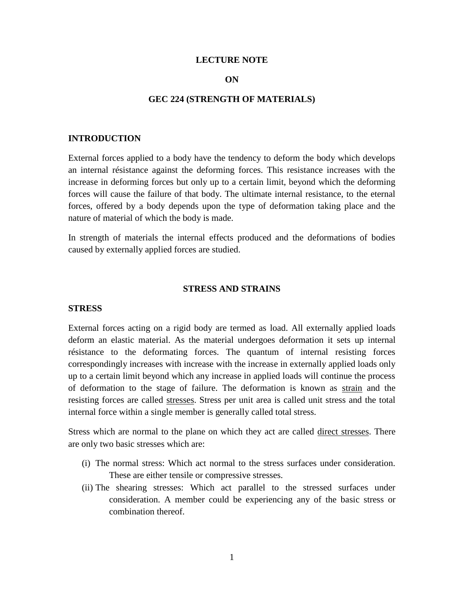### **LECTURE NOTE**

### **ON**

### **GEC 224 (STRENGTH OF MATERIALS)**

#### **INTRODUCTION**

External forces applied to a body have the tendency to deform the body which develops an internal résistance against the deforming forces. This resistance increases with the increase in deforming forces but only up to a certain limit, beyond which the deforming forces will cause the failure of that body. The ultimate internal resistance, to the eternal forces, offered by a body depends upon the type of deformation taking place and the nature of material of which the body is made.

In strength of materials the internal effects produced and the deformations of bodies caused by externally applied forces are studied.

# **STRESS AND STRAINS**

#### **STRESS**

External forces acting on a rigid body are termed as load. All externally applied loads deform an elastic material. As the material undergoes deformation it sets up internal résistance to the deformating forces. The quantum of internal resisting forces correspondingly increases with increase with the increase in externally applied loads only up to a certain limit beyond which any increase in applied loads will continue the process of deformation to the stage of failure. The deformation is known as strain and the resisting forces are called stresses. Stress per unit area is called unit stress and the total internal force within a single member is generally called total stress.

Stress which are normal to the plane on which they act are called direct stresses. There are only two basic stresses which are:

- (i) The normal stress: Which act normal to the stress surfaces under consideration. These are either tensile or compressive stresses.
- (ii) The shearing stresses: Which act parallel to the stressed surfaces under consideration. A member could be experiencing any of the basic stress or combination thereof.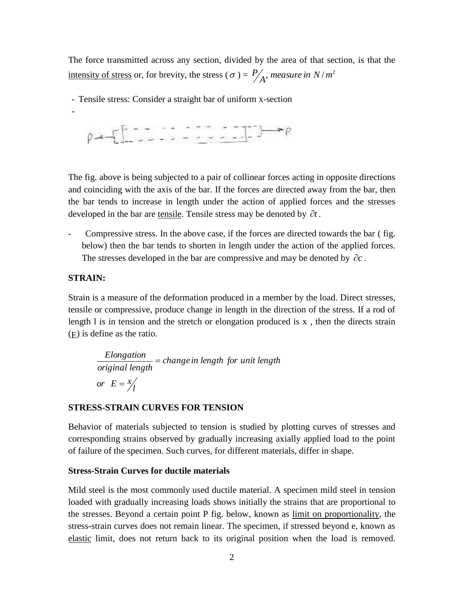The force transmitted across any section, divided by the area of that section, is that the intensity of stress or, for brevity, the stress ( $\sigma$ ) =  $\frac{P}{A}$ , *measure in*  $N/m^2$ 

- Tensile stress: Consider a straight bar of uniform x-section

$$
\rho \rightarrow \sqrt{2}
$$

The fig. above is being subjected to a pair of collinear forces acting in opposite directions and coinciding with the axis of the bar. If the forces are directed away from the bar, then the bar tends to increase in length under the action of applied forces and the stresses developed in the bar are tensile. Tensile stress may be denoted by  $\partial t$ .

Compressive stress. In the above case, if the forces are directed towards the bar (fig. below) then the bar tends to shorten in length under the action of the applied forces. The stresses developed in the bar are compressive and may be denoted by  $\partial c$ .

### **STRAIN:**

-

Strain is a measure of the deformation produced in a member by the load. Direct stresses, tensile or compressive, produce change in length in the direction of the stress. If a rod of length  $l$  is in tension and the stretch or elongation produced is  $x$ , then the directs strain (E) is define as the ratio.

*Elongation*  
original length = change in length for unit length  
or 
$$
E = \frac{x}{l}
$$

### **STRESS-STRAIN CURVES FOR TENSION**

Behavior of materials subjected to tension is studied by plotting curves of stresses and corresponding strains observed by gradually increasing axially applied load to the point of failure of the specimen. Such curves, for different materials, differ in shape.

### **Stress-Strain Curves for ductile materials**

Mild steel is the most commonly used ductile material. A specimen mild steel in tension loaded with gradually increasing loads shows initially the strains that are proportional to the stresses. Beyond a certain point P fig. below, known as limit on proportionality, the stress-strain curves does not remain linear. The specimen, if stressed beyond e, known as elastic limit, does not return back to its original position when the load is removed.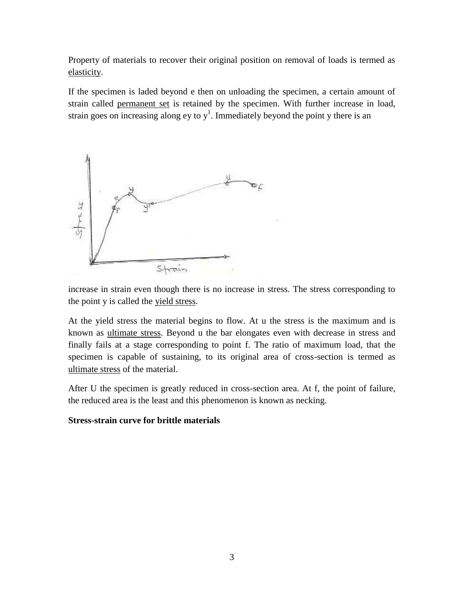Property of materials to recover their original position on removal of loads is termed as elasticity.

If the specimen is laded beyond e then on unloading the specimen, a certain amount of strain called permanent set is retained by the specimen. With further increase in load, strain goes on increasing along ey to  $y<sup>1</sup>$ . Immediately beyond the point y there is an



increase in strain even though there is no increase in stress. The stress corresponding to the point y is called the yield stress.

At the yield stress the material begins to flow. At u the stress is the maximum and is known as ultimate stress. Beyond u the bar elongates even with decrease in stress and finally fails at a stage corresponding to point f. The ratio of maximum load, that the specimen is capable of sustaining, to its original area of cross-section is termed as ultimate stress of the material.

After U the specimen is greatly reduced in cross-section area. At f, the point of failure, the reduced area is the least and this phenomenon is known as necking.

# **Stress-strain curve for brittle materials**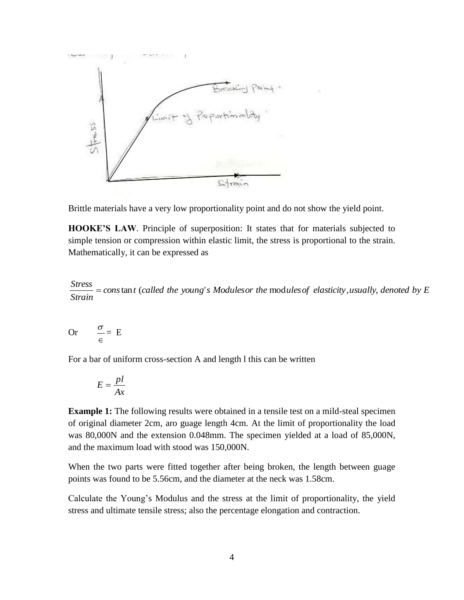

Brittle materials have a very low proportionality point and do not show the yield point.

**HOOKE'S LAW**. Principle of superposition: It states that for materials subjected to simple tension or compression within elastic limit, the stress is proportional to the strain. Mathematically, it can be expressed as

 $\epsilon$  *cons* tan *t* (called the young's Modulesor the modules of elasticity, usually, denoted by E *Strain Stress*

Or 
$$
\frac{\sigma}{\epsilon} = E
$$

For a bar of uniform cross-section A and length l this can be written

$$
E = \frac{pl}{Ax}
$$

**Example 1:** The following results were obtained in a tensile test on a mild-steal specimen of original diameter 2cm, aro guage length 4cm. At the limit of proportionality the load was 80,000N and the extension 0.048mm. The specimen yielded at a load of 85,000N, and the maximum load with stood was 150,000N.

When the two parts were fitted together after being broken, the length between guage points was found to be 5.56cm, and the diameter at the neck was 1.58cm.

Calculate the Young's Modulus and the stress at the limit of proportionality, the yield stress and ultimate tensile stress; also the percentage elongation and contraction.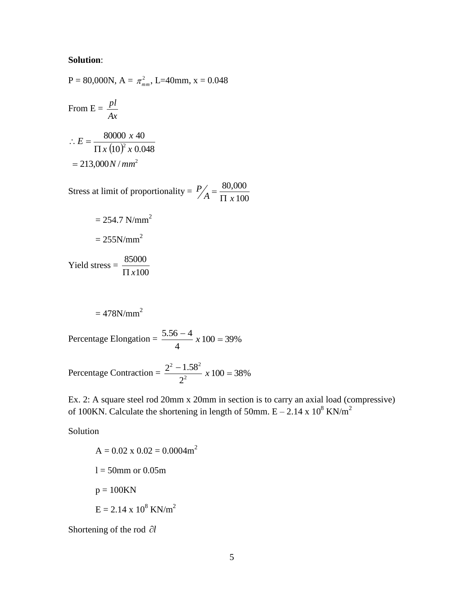# **Solution**:

P = 80,000N, A = 
$$
\pi_{mm}^2
$$
, L=40mm, x = 0.048  
\nFrom E =  $\frac{pl}{Ax}$   
\n∴ E =  $\frac{80000 \times 40}{\Pi x (10)^2 \times 0.048}$   
\n= 213,000*N*/*mm*<sup>2</sup>

Stress at limit of proportionality  $=$ 100 80,000  $A = \frac{1}{\prod x}$ *P*  $\prod$  $=$ 

$$
= 254.7 \text{ N/mm}^2
$$

$$
= 255 \text{ N/mm}^2
$$

Yield stress = 100  $\prod x$ 

$$
=478N/mm^2
$$

Percentage Elongation =  $\frac{3.56}{1}$  x 100 = 39% 4  $\frac{5.56 - 4}{1}$  x 100 =

Percentage Contraction =  $\frac{2}{2}$   $\frac{1.58}{2}$  x 100 = 38% 2  $2^2 - 1.58$ 2  $2 - 1.58^2$  $\frac{-1.58^2}{2}$  x 100 =

Ex. 2: A square steel rod 20mm x 20mm in section is to carry an axial load (compressive) of 100KN. Calculate the shortening in length of 50mm.  $E - 2.14 \times 10^8$  KN/m<sup>2</sup>

Solution

$$
A = 0.02 \times 0.02 = 0.0004 m2
$$
  
1 = 50mm or 0.05m  
p = 100KN  
E = 2.14 x 10<sup>8</sup> KN/m<sup>2</sup>

Shortening of the rod  $\partial l$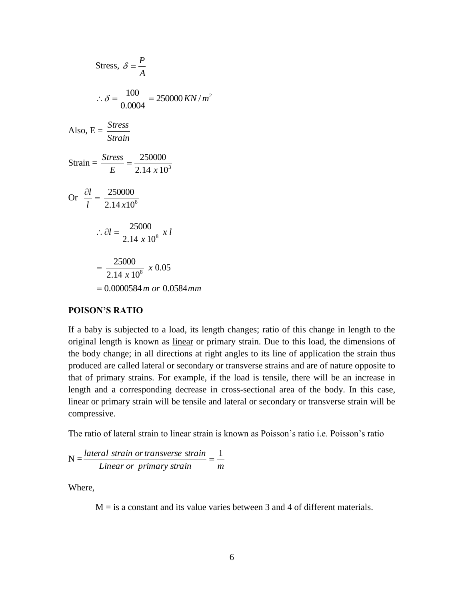$$
\text{Stress, } \delta = \frac{P}{A}
$$
\n
$$
\therefore \delta = \frac{100}{0.0004} = 250000 \, \text{KN/m}^2
$$
\n
$$
\text{Also, } E = \frac{\text{Stress}}{\text{Strain}}
$$
\n
$$
\text{Strain} = \frac{\text{Stress}}{E} = \frac{250000}{2.14 \times 10^3}
$$
\n
$$
\text{Or } \frac{\partial l}{l} = \frac{250000}{2.14 \times 10^8}
$$
\n
$$
\therefore \partial l = \frac{25000}{2.14 \times 10^8} \times l
$$
\n
$$
= \frac{25000}{2.14 \times 10^8} \times 0.05
$$
\n
$$
= 0.0000584 \, \text{m or } 0.0584 \, \text{mm}
$$

#### **POISON'S RATIO**

If a baby is subjected to a load, its length changes; ratio of this change in length to the original length is known as linear or primary strain. Due to this load, the dimensions of the body change; in all directions at right angles to its line of application the strain thus produced are called lateral or secondary or transverse strains and are of nature opposite to that of primary strains. For example, if the load is tensile, there will be an increase in length and a corresponding decrease in cross-sectional area of the body. In this case, linear or primary strain will be tensile and lateral or secondary or transverse strain will be compressive.

The ratio of lateral strain to linear strain is known as Poisson's ratio i.e. Poisson's ratio

$$
N = \frac{lateral strain or transverse strain}{Linear or primary strain} = \frac{1}{m}
$$

Where,

 $M =$  is a constant and its value varies between 3 and 4 of different materials.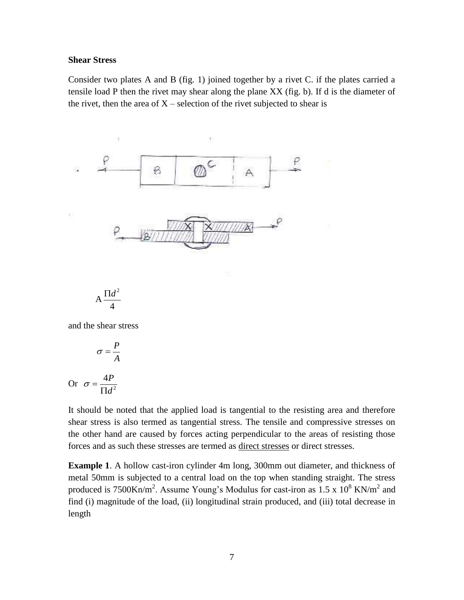### **Shear Stress**

Consider two plates A and B (fig. 1) joined together by a rivet C. if the plates carried a tensile load P then the rivet may shear along the plane XX (fig. b). If d is the diameter of the rivet, then the area of  $X$  – selection of the rivet subjected to shear is



and the shear stress

$$
\sigma = \frac{P}{A}
$$
  
Or 
$$
\sigma = \frac{4P}{\Pi d^2}
$$

It should be noted that the applied load is tangential to the resisting area and therefore shear stress is also termed as tangential stress. The tensile and compressive stresses on the other hand are caused by forces acting perpendicular to the areas of resisting those forces and as such these stresses are termed as direct stresses or direct stresses.

**Example 1**. A hollow cast-iron cylinder 4m long, 300mm out diameter, and thickness of metal 50mm is subjected to a central load on the top when standing straight. The stress produced is 7500Kn/m<sup>2</sup>. Assume Young's Modulus for cast-iron as 1.5 x  $10^8$  KN/m<sup>2</sup> and find (i) magnitude of the load, (ii) longitudinal strain produced, and (iii) total decrease in length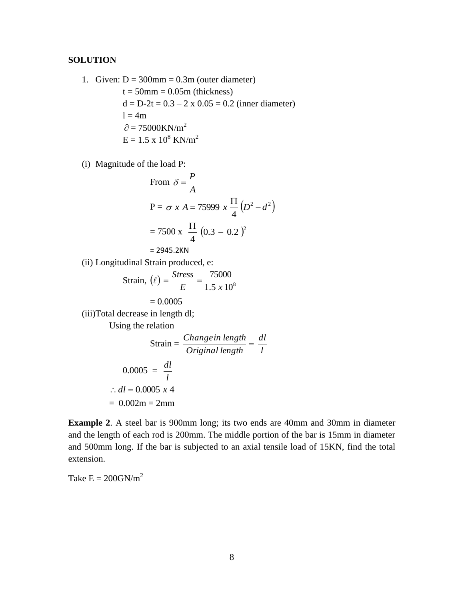# **SOLUTION**

- 1. Given:  $D = 300$ mm = 0.3m (outer diameter)  $t = 50$ mm = 0.05m (thickness)  $d = D-2t = 0.3 - 2 \times 0.05 = 0.2$  (inner diameter)  $l = 4m$  $\partial = 75000$ KN/m<sup>2</sup>  $E = 1.5 \times 10^8$  KN/m<sup>2</sup>
- (i) Magnitude of the load P:

From 
$$
\delta = \frac{P}{A}
$$
  
\n
$$
P = \sigma x A = 75999 x \frac{\Pi}{4} (D^2 - d^2)
$$
\n
$$
= 7500 x \frac{\Pi}{4} (0.3 - 0.2)^2
$$
\n
$$
= 2945.2 \text{KN}
$$
\n(ii) Longitudinal Strain produced, e:  
\nStrain,  $(\ell) = \frac{Stress}{E} = \frac{75000}{1.5 \times 10^8}$   
\n $= 0.0005$   
\n(iii) Total decrease in length dl;  
\nUsing the relation  
\nStrain =  $\frac{Changein length}{Original length} = \frac{dl}{l}$   
\n $0.0005 = \frac{dl}{l}$ 

$$
\therefore dl = 0.0005 \times 4
$$
  
= 0.002m = 2mm

**Example 2**. A steel bar is 900mm long; its two ends are 40mm and 30mm in diameter and the length of each rod is 200mm. The middle portion of the bar is 15mm in diameter and 500mm long. If the bar is subjected to an axial tensile load of 15KN, find the total extension.

Take  $E = 200$ GN/m<sup>2</sup>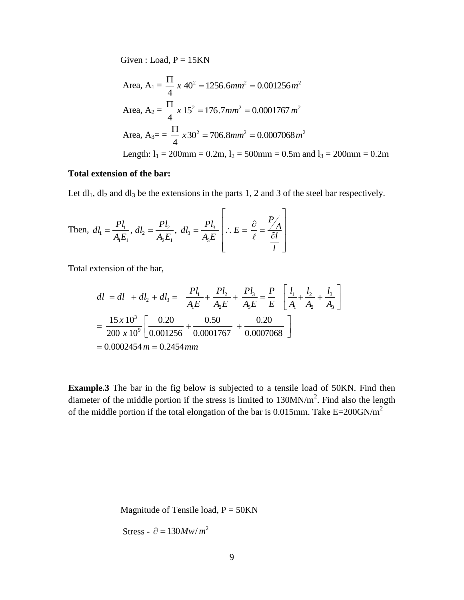Given : Load,  $P = 15KN$ 

Area, A<sub>1</sub> = 
$$
\frac{\Pi}{4} x 40^2 = 1256.6mm^2 = 0.001256m^2
$$
  
Area, A<sub>2</sub> =  $\frac{\Pi}{4} x 15^2 = 176.7mm^2 = 0.0001767 m^2$   
Area, A<sub>3</sub>= =  $\frac{\Pi}{4} x 30^2 = 706.8mm^2 = 0.0007068 m^2$   
Length: l<sub>1</sub> = 200mm = 0.2m, l<sub>2</sub> = 500mm = 0.5m and l<sub>3</sub> = 200mm = 0.2m

# **Total extension of the bar:**

Let  $dl_1$ ,  $dl_2$  and  $dl_3$  be the extensions in the parts 1, 2 and 3 of the steel bar respectively.

Then, 
$$
dl_1 = \frac{Pl_1}{A_1 E_1}
$$
,  $dl_2 = \frac{Pl_2}{A_2 E_1}$ ,  $dl_3 = \frac{Pl_3}{A_3 E} \left[ \therefore E = \frac{\partial}{\partial \ell} = \frac{P}{\frac{\partial l}{\partial l}} \right]$ 

Total extension of the bar,

$$
dl = dl + dl_2 + dl_3 = \frac{Pl_1}{A_1E} + \frac{Pl_2}{A_2E} + \frac{Pl_3}{A_3E} = \frac{P}{E} \left[ \frac{l_1}{A_1} + \frac{l_2}{A_2} + \frac{l_3}{A_3} \right]
$$
  
=  $\frac{15x 10^3}{200 x 10^9} \left[ \frac{0.20}{0.001256} + \frac{0.50}{0.0001767} + \frac{0.20}{0.0007068} \right]$   
= 0.0002454 *m* = 0.2454 *mm*

**Example.3** The bar in the fig below is subjected to a tensile load of 50KN. Find then diameter of the middle portion if the stress is limited to  $130MN/m<sup>2</sup>$ . Find also the length of the middle portion if the total elongation of the bar is  $0.015$ mm. Take E=200GN/m<sup>2</sup>

Magnitude of Tensile load,  $P = 50KN$ 

Stress -  $\partial = 130Mw/m^2$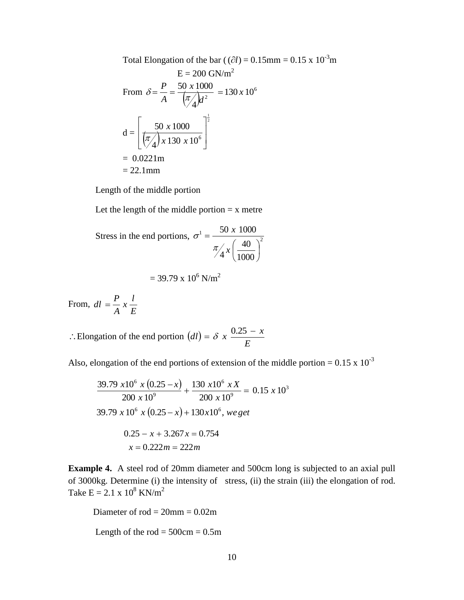Total Elongation of the bar (
$$
(\partial l) = 0.15 \text{mm} = 0.15 \times 10^{-3} \text{m}
$$
  
\n
$$
E = 200 \text{ GN/m}^2
$$
\nFrom  $\delta = \frac{P}{A} = \frac{50 \times 1000}{(\pi/4)l^2} = 130 \times 10^6$   
\n
$$
d = \left[\frac{50 \times 1000}{(\pi/4) \times 130 \times 10^6}\right]^{\frac{1}{2}}
$$
\n= 0.0221m  
\n= 22.1mm

Length of the middle portion

Let the length of the middle portion  $= x$  metre

Stress in the end portions, 
$$
\sigma^1 = \frac{50 \times 1000}{\pi/4 \times \left(\frac{40}{1000}\right)^2}
$$
  
= 39.79 x 10<sup>6</sup> N/m<sup>2</sup>

From, *E*  $\frac{l}{l}$ *A*  $dl = \frac{P}{q}$ 

 $\therefore$  Elongation of the end portion  $(d)$ *E*  $dl$ ) =  $\delta x \frac{0.25 - x}{\sigma}$ 

Also, elongation of the end portions of extension of the middle portion =  $0.15 \times 10^{-3}$ 

$$
\frac{39.79 \times 10^6 \times (0.25 - x)}{200 \times 10^9} + \frac{130 \times 10^6 \times X}{200 \times 10^9} = 0.15 \times 10^3
$$
  
39.79 x 10<sup>6</sup> x (0.25 - x) + 130x10<sup>6</sup>, we get  
0.25 - x + 3.267x = 0.754  
x = 0.222m = 222m

**Example 4.** A steel rod of 20mm diameter and 500cm long is subjected to an axial pull of 3000kg. Determine (i) the intensity of stress, (ii) the strain (iii) the elongation of rod. Take  $E = 2.1 \times 10^8 \text{ KN/m}^2$ 

Diameter of  $rod = 20$ mm =  $0.02$ m Length of the  $rod = 500cm = 0.5m$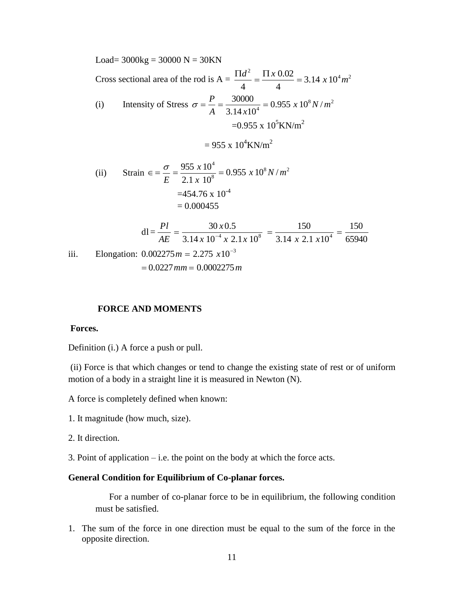Load=  $3000kg = 30000 N = 30KN$ Cross sectional area of the rod is  $A = \frac{\Pi d^2}{4} = \frac{\Pi x \, 0.02}{4} = 3.14 x 10^4 m^2$  $3.14 \times 10$ 4 0.02 4  $\frac{\Pi d^2}{dx^2} = \frac{\Pi x \, 0.02}{dx^2} = 3.14 x 10^4 m$ (i) Intensity of Stress  $\sigma = \frac{F}{\sqrt{GM}} = \frac{30000}{2.0000} = 0.955 \times 10^8 N/m^2$  $\frac{1}{4}$  = 0.955 x 10<sup>8</sup> N/  $3.14 x 10$  $\frac{30000}{(1.1 \times 10^{4})^4} = 0.955 \times 10^{8} N/m$ *A x*  $\sigma = \frac{P}{P} = \frac{30000}{2.000000} =$  $=0.955 \times 10^5$ KN/m<sup>2</sup>  $= 955 \times 10^4$ KN/m<sup>2</sup> (ii) Strain  $\epsilon = \frac{6}{5} = \frac{333 \times 10^8}{24 \times 10^8} = 0.955 \times 10^8 N/m^2$ 8 4  $0.955 \; x \, 10^8 N/$  $2.1 \times 10$  $\frac{955 \times 10^4}{24 \times 10^8 \text{ N/m}} = 0.955 \times 10^8 \text{ N/m}$ *x x E*  $\epsilon = \frac{\sigma}{\sigma} = \frac{955 \times 10^{8}}{100 \times 10^{8}} =$  $=454.76 \times 10^{-4}$  $= 0.000455$  $x \ 10^{-4} \ x \ 2.1 \ x \ 10^{8}$  3.14  $x \ 2.1 \ x$ *x AE Pl* 65940 150  $3.14 \times 2.1 \times 10$ 150  $3.14 x 10^{-4} x 2.1 x 10$  $30 x 0.5$ = 0.000455<br>dl =  $\frac{Pl}{AE}$  =  $\frac{30 x 0.5}{3.14 x 10^{-4} x 2.1 x 10^{8}}$  =  $\frac{150}{3.14 x 2.1 x 10^{4}}$  =

iii. Elongation:  $0.002275 m = 2.275 x 10^{-3}$  $m = 0.0227$  mm  $m = 0.0002275$  m

### **FORCE AND MOMENTS**

#### **Forces.**

Definition (i.) A force a push or pull.

(ii) Force is that which changes or tend to change the existing state of rest or of uniform motion of a body in a straight line it is measured in Newton (N).

A force is completely defined when known:

- 1. It magnitude (how much, size).
- 2. It direction.

3. Point of application – i.e. the point on the body at which the force acts.

### **General Condition for Equilibrium of Co-planar forces.**

For a number of co-planar force to be in equilibrium, the following condition must be satisfied.

1. The sum of the force in one direction must be equal to the sum of the force in the opposite direction.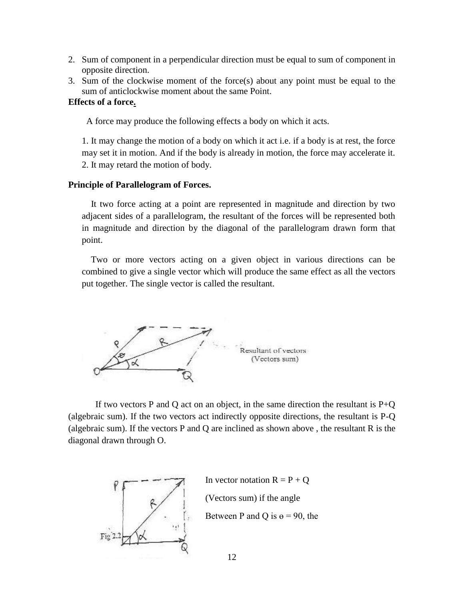- 2. Sum of component in a perpendicular direction must be equal to sum of component in opposite direction.
- 3. Sum of the clockwise moment of the force(s) about any point must be equal to the sum of anticlockwise moment about the same Point.

### **Effects of a force.**

A force may produce the following effects a body on which it acts.

1. It may change the motion of a body on which it act i.e. if a body is at rest, the force may set it in motion. And if the body is already in motion, the force may accelerate it. 2. It may retard the motion of body.

### **Principle of Parallelogram of Forces.**

 It two force acting at a point are represented in magnitude and direction by two adjacent sides of a parallelogram, the resultant of the forces will be represented both in magnitude and direction by the diagonal of the parallelogram drawn form that point.

 Two or more vectors acting on a given object in various directions can be combined to give a single vector which will produce the same effect as all the vectors put together. The single vector is called the resultant.



If two vectors P and Q act on an object, in the same direction the resultant is  $P+Q$ (algebraic sum). If the two vectors act indirectly opposite directions, the resultant is P-Q (algebraic sum). If the vectors P and Q are inclined as shown above , the resultant R is the diagonal drawn through O.



In vector notation  $R = P + Q$  (Vectors sum) if the angle Between P and Q is  $e = 90$ , the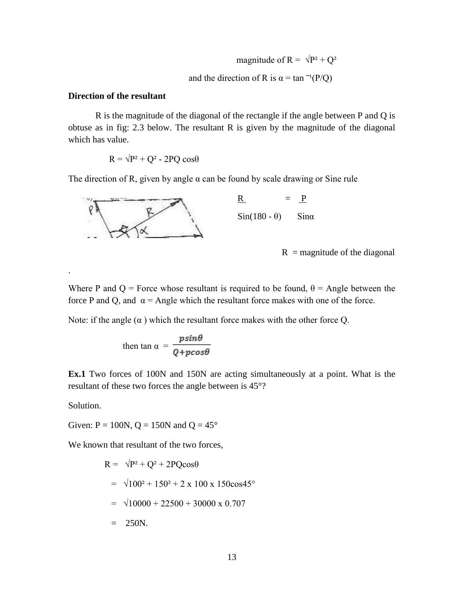magnitude of R =  $\sqrt{P^2 + Q^2}$ and the direction of R is  $\alpha = \tan^{-1}(P/Q)$ 

# **Direction of the resultant**

R is the magnitude of the diagonal of the rectangle if the angle between P and Q is obtuse as in fig: 2.3 below. The resultant R is given by the magnitude of the diagonal which has value.

 $R = \sqrt{P^2 + Q^2} - 2PQ \cos\theta$ 

The direction of R, given by angle  $\alpha$  can be found by scale drawing or Sine rule



 $R = P$  $Sin(180 - \theta)$  Sina

 $R$  = magnitude of the diagonal

Where P and Q = Force whose resultant is required to be found,  $\theta$  = Angle between the force P and Q, and  $\alpha$  = Angle which the resultant force makes with one of the force.

Note: if the angle  $(\alpha)$  which the resultant force makes with the other force Q.

then 
$$
\tan \alpha = \frac{p \sin \theta}{Q + p \cos \theta}
$$

**Ex.1** Two forces of 100N and 150N are acting simultaneously at a point. What is the resultant of these two forces the angle between is 45°?

Solution.

.

Given:  $P = 100N$ ,  $Q = 150N$  and  $Q = 45^{\circ}$ 

We known that resultant of the two forces,

$$
R = \sqrt{P^2 + Q^2 + 2PQ\cos\theta}
$$
  
=  $\sqrt{100^2 + 150^2 + 2 \times 100 \times 150\cos 45^\circ}$   
=  $\sqrt{10000 + 22500 + 30000 \times 0.707}$   
= 250N.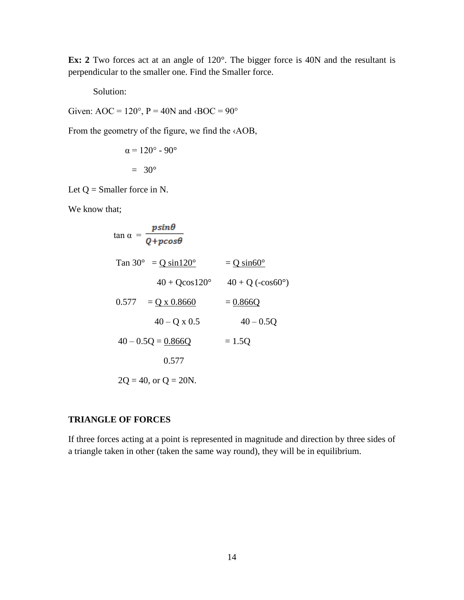**Ex: 2** Two forces act at an angle of 120°. The bigger force is 40N and the resultant is perpendicular to the smaller one. Find the Smaller force.

Solution:

Given: AOC =  $120^\circ$ , P =  $40N$  and  $\triangle$ BOC =  $90^\circ$ 

From the geometry of the figure, we find the ‹AOB,

$$
\alpha = 120^{\circ} - 90^{\circ}
$$

$$
= 30^{\circ}
$$

Let  $Q =$  Smaller force in N.

We know that;

$$
\tan \alpha = \frac{p \sin \theta}{Q + p \cos \theta}
$$
  
\n
$$
\tan 30^{\circ} = \frac{Q \sin 120^{\circ}}{40 + Q \cos 120^{\circ}} = \frac{Q \sin 60^{\circ}}{40 + Q (\cos 60^{\circ})}
$$
  
\n
$$
0.577 = \frac{Q \times 0.8660}{40 - Q \times 0.5} = \frac{0.866Q}{40 - 0.5Q}
$$
  
\n
$$
40 - 0.5Q = \frac{0.866Q}{0.577} = 1.5Q
$$
  
\n
$$
0.577
$$
  
\n
$$
2Q = 40, \text{ or } Q = 20N.
$$

# **TRIANGLE OF FORCES**

If three forces acting at a point is represented in magnitude and direction by three sides of a triangle taken in other (taken the same way round), they will be in equilibrium.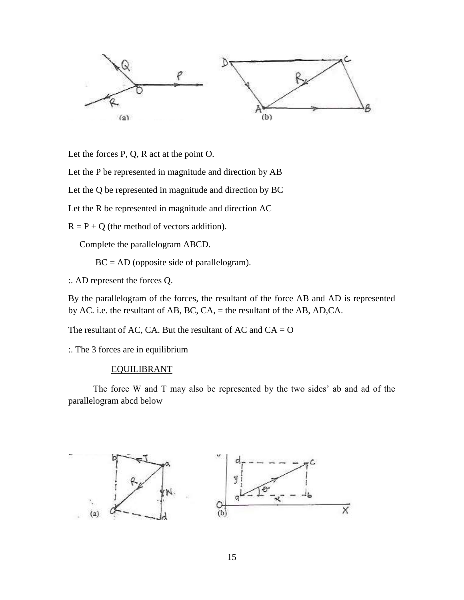

Let the forces P, Q, R act at the point O.

Let the P be represented in magnitude and direction by AB

Let the Q be represented in magnitude and direction by BC

Let the R be represented in magnitude and direction AC

 $R = P + Q$  (the method of vectors addition).

Complete the parallelogram ABCD.

 $BC = AD$  (opposite side of parallelogram).

:. AD represent the forces Q.

By the parallelogram of the forces, the resultant of the force AB and AD is represented by AC. i.e. the resultant of AB, BC, CA, = the resultant of the AB, AD,CA.

The resultant of AC, CA. But the resultant of AC and  $CA = O$ 

:. The 3 forces are in equilibrium

#### EQUILIBRANT

 The force W and T may also be represented by the two sides' ab and ad of the parallelogram abcd below

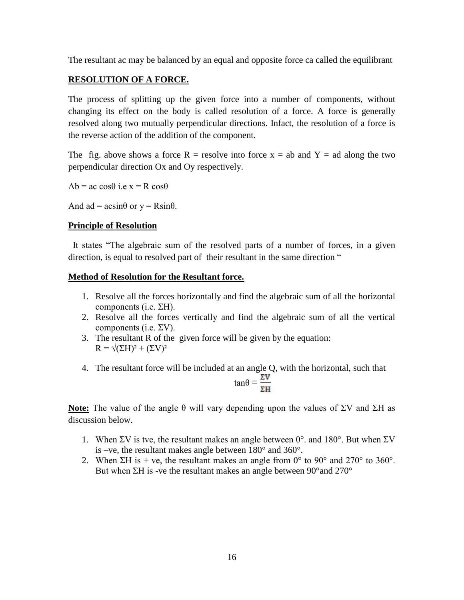The resultant ac may be balanced by an equal and opposite force ca called the equilibrant

# **RESOLUTION OF A FORCE.**

The process of splitting up the given force into a number of components, without changing its effect on the body is called resolution of a force. A force is generally resolved along two mutually perpendicular directions. Infact, the resolution of a force is the reverse action of the addition of the component.

The fig. above shows a force R = resolve into force  $x = ab$  and Y = ad along the two perpendicular direction Ox and Oy respectively.

 $Ab = ac \cos\theta$  i.e x = R cos $\theta$ 

And ad =  $\text{acsin}\theta$  or  $y = \text{Rsin}\theta$ .

# **Principle of Resolution**

 It states "The algebraic sum of the resolved parts of a number of forces, in a given direction, is equal to resolved part of their resultant in the same direction "

# **Method of Resolution for the Resultant force.**

- 1. Resolve all the forces horizontally and find the algebraic sum of all the horizontal components (i.e. ΣH).
- 2. Resolve all the forces vertically and find the algebraic sum of all the vertical components (i.e.  $\Sigma V$ ).
- 3. The resultant R of the given force will be given by the equation:  $R = \sqrt{(\Sigma H)^2 + (\Sigma V)^2}$
- 4. The resultant force will be included at an angle Q, with the horizontal, such that  $tan\theta = \frac{\Sigma V}{\Sigma H}$

**Note:** The value of the angle  $\theta$  will vary depending upon the values of  $\Sigma V$  and  $\Sigma H$  as discussion below.

- 1. When  $\Sigma V$  is tve, the resultant makes an angle between  $0^{\circ}$  and  $180^{\circ}$ . But when  $\Sigma V$ is –ve, the resultant makes angle between 180° and 360°.
- 2. When  $\Sigma H$  is + ve, the resultant makes an angle from 0° to 90° and 270° to 360°. But when ΣH is -ve the resultant makes an angle between 90°and 270°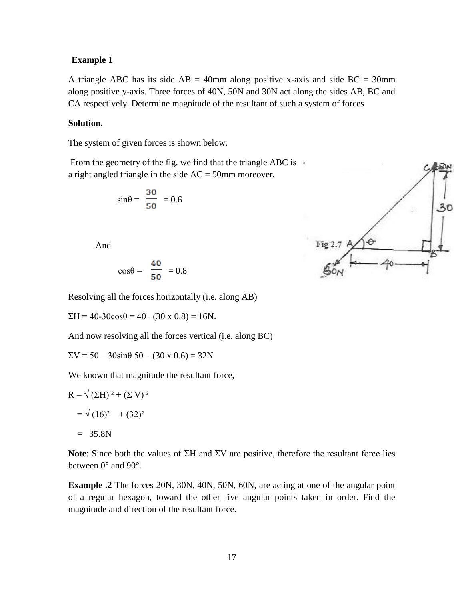### **Example 1**

A triangle ABC has its side  $AB = 40$ mm along positive x-axis and side  $BC = 30$ mm along positive y-axis. Three forces of 40N, 50N and 30N act along the sides AB, BC and CA respectively. Determine magnitude of the resultant of such a system of forces

#### **Solution.**

The system of given forces is shown below.

From the geometry of the fig. we find that the triangle ABC is  $\pm$ a right angled triangle in the side AC = 50mm moreover,

$$
\sin\theta = \frac{30}{50} = 0.6
$$

And

$$
\cos\theta = \frac{40}{50} = 0.8
$$

Resolving all the forces horizontally (i.e. along AB)

 $\Sigma H = 40-30\cos\theta = 40 - (30 \times 0.8) = 16N.$ 

And now resolving all the forces vertical (i.e. along BC)

 $\Sigma V = 50 - 30 \sin \theta \ 50 - (30 \times 0.6) = 32N$ 

We known that magnitude the resultant force,

$$
R = \sqrt{(\Sigma H)^2 + (\Sigma V)^2}
$$
  
=  $\sqrt{(16)^2 + (32)^2}$   
= 35.8N

**Note**: Since both the values of ΣH and ΣV are positive, therefore the resultant force lies between 0° and 90°.

**Example .2** The forces 20N, 30N, 40N, 50N, 60N, are acting at one of the angular point of a regular hexagon, toward the other five angular points taken in order. Find the magnitude and direction of the resultant force.

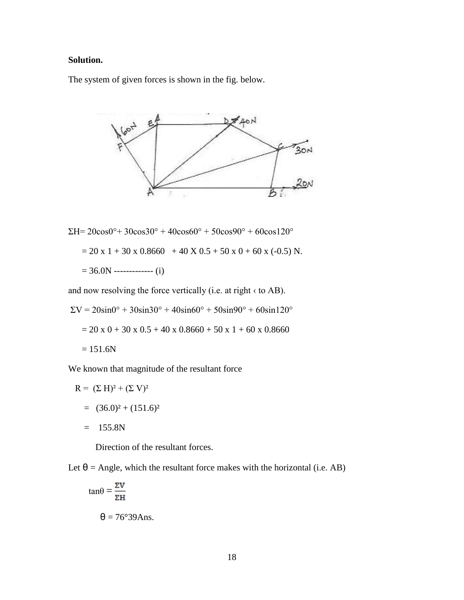# **Solution.**

The system of given forces is shown in the fig. below.



ΣH= 20cos0°+ 30cos30° + 40cos60° + 50cos90° + 60cos120°  $= 20 \times 1 + 30 \times 0.8660 + 40 \times 0.5 + 50 \times 0 + 60 \times (-0.5)$  N.  $= 36.0N$  ------------- (i)

and now resolving the force vertically (i.e. at right ‹ to AB).

$$
\Sigma V = 20 \sin 0^{\circ} + 30 \sin 30^{\circ} + 40 \sin 60^{\circ} + 50 \sin 90^{\circ} + 60 \sin 120^{\circ}
$$
  
= 20 x 0 + 30 x 0.5 + 40 x 0.8660 + 50 x 1 + 60 x 0.8660  
= 151.6N

We known that magnitude of the resultant force

$$
R = (\Sigma H)^2 + (\Sigma V)^2
$$
  
= (36.0)<sup>2</sup> + (151.6)<sup>2</sup>  
= 155.8N

Direction of the resultant forces.

Let  $\theta$  = Angle, which the resultant force makes with the horizontal (i.e. AB)

$$
\tan\theta = \frac{\Sigma V}{\Sigma H}
$$

$$
\theta = 76^{\circ}39Ans.
$$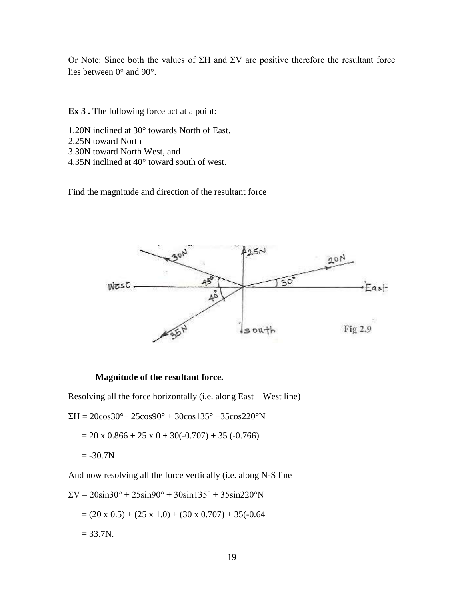Or Note: Since both the values of ΣH and ΣV are positive therefore the resultant force lies between 0° and 90°.

**Ex 3 .** The following force act at a point:

- 1.20N inclined at 30° towards North of East.
- 2.25N toward North
- 3.30N toward North West, and
- 4.35N inclined at 40° toward south of west.

Find the magnitude and direction of the resultant force



### **Magnitude of the resultant force.**

Resolving all the force horizontally (i.e. along East – West line)

 $\Sigma H = 20\cos 30^{\circ} + 25\cos 90^{\circ} + 30\cos 135^{\circ} + 35\cos 220^{\circ} N$ 

$$
= 20 \times 0.866 + 25 \times 0 + 30(-0.707) + 35(-0.766)
$$

 $= -30.7N$ 

And now resolving all the force vertically (i.e. along N-S line

$$
\Sigma V = 20\sin 30^\circ + 25\sin 90^\circ + 30\sin 135^\circ + 35\sin 220^\circ N
$$
  
= (20 x 0.5) + (25 x 1.0) + (30 x 0.707) + 35(-0.64  
= 33.7N.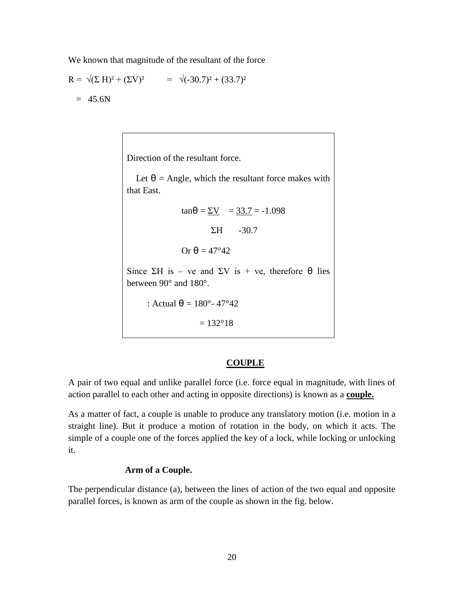We known that magnitude of the resultant of the force

$$
R = \sqrt{(\Sigma H)^2 + (\Sigma V)^2} = \sqrt{(-30.7)^2 + (33.7)^2}
$$
  
= 45.6N

Direction of the resultant force.

Let  $\theta$  = Angle, which the resultant force makes with that East.

$$
\tan\theta = \underline{\Sigma V} = 33.7 = -1.098
$$

 $\Sigma H$  -30.7

Or  $\theta = 47^{\circ}42$ 

Since  $\Sigma H$  is – ve and  $\Sigma V$  is + ve, therefore  $\Theta$  lies between 90° and 180°.

: Actual  $\theta = 180^{\circ} - 47^{\circ}42$ 

 $= 132^{\circ}18$ 

# **COUPLE**

A pair of two equal and unlike parallel force (i.e. force equal in magnitude, with lines of action parallel to each other and acting in opposite directions) is known as a **couple.**

As a matter of fact, a couple is unable to produce any translatory motion (i.e. motion in a straight line). But it produce a motion of rotation in the body, on which it acts. The simple of a couple one of the forces applied the key of a lock, while locking or unlocking it.

# **Arm of a Couple.**

The perpendicular distance (a), between the lines of action of the two equal and opposite parallel forces, is known as arm of the couple as shown in the fig. below.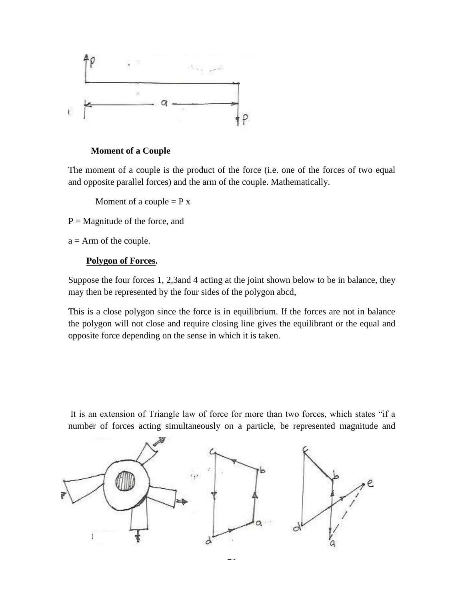

# **Moment of a Couple**

The moment of a couple is the product of the force (i.e. one of the forces of two equal and opposite parallel forces) and the arm of the couple. Mathematically.

Moment of a couple  $= P x$ 

 $P =$ Magnitude of the force, and

 $a = Arm$  of the couple.

# **Polygon of Forces.**

Suppose the four forces 1, 2,3and 4 acting at the joint shown below to be in balance, they may then be represented by the four sides of the polygon abcd,

This is a close polygon since the force is in equilibrium. If the forces are not in balance the polygon will not close and require closing line gives the equilibrant or the equal and opposite force depending on the sense in which it is taken.

It is an extension of Triangle law of force for more than two forces, which states "if a number of forces acting simultaneously on a particle, be represented magnitude and

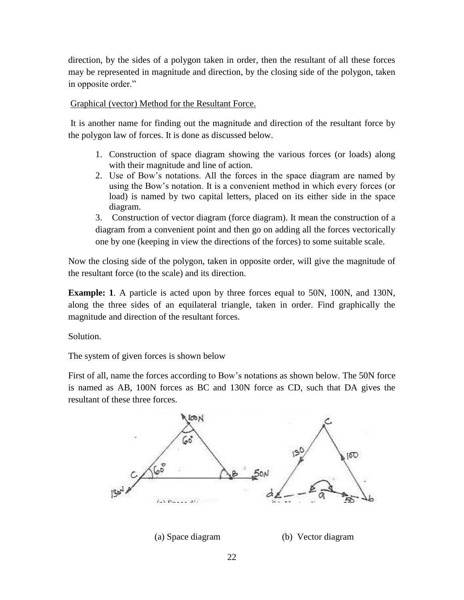direction, by the sides of a polygon taken in order, then the resultant of all these forces may be represented in magnitude and direction, by the closing side of the polygon, taken in opposite order."

Graphical (vector) Method for the Resultant Force.

It is another name for finding out the magnitude and direction of the resultant force by the polygon law of forces. It is done as discussed below.

- 1. Construction of space diagram showing the various forces (or loads) along with their magnitude and line of action.
- 2. Use of Bow's notations. All the forces in the space diagram are named by using the Bow's notation. It is a convenient method in which every forces (or load) is named by two capital letters, placed on its either side in the space diagram.

3. Construction of vector diagram (force diagram). It mean the construction of a diagram from a convenient point and then go on adding all the forces vectorically one by one (keeping in view the directions of the forces) to some suitable scale.

Now the closing side of the polygon, taken in opposite order, will give the magnitude of the resultant force (to the scale) and its direction.

**Example: 1.** A particle is acted upon by three forces equal to 50N, 100N, and 130N, along the three sides of an equilateral triangle, taken in order. Find graphically the magnitude and direction of the resultant forces.

Solution.

The system of given forces is shown below

First of all, name the forces according to Bow's notations as shown below. The 50N force is named as AB, 100N forces as BC and 130N force as CD, such that DA gives the resultant of these three forces.

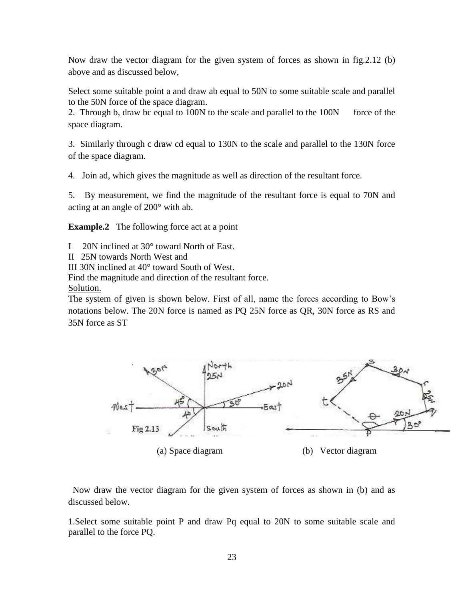Now draw the vector diagram for the given system of forces as shown in fig.2.12 (b) above and as discussed below,

Select some suitable point a and draw ab equal to 50N to some suitable scale and parallel to the 50N force of the space diagram.

2. Through b, draw bc equal to 100N to the scale and parallel to the 100N force of the space diagram.

3. Similarly through c draw cd equal to 130N to the scale and parallel to the 130N force of the space diagram.

4. Join ad, which gives the magnitude as well as direction of the resultant force.

5. By measurement, we find the magnitude of the resultant force is equal to 70N and acting at an angle of 200° with ab.

**Example.2** The following force act at a point

- I 20N inclined at 30° toward North of East.
- II 25N towards North West and

III 30N inclined at 40° toward South of West.

Find the magnitude and direction of the resultant force.

Solution.

The system of given is shown below. First of all, name the forces according to Bow's notations below. The 20N force is named as PQ 25N force as QR, 30N force as RS and 35N force as ST



 Now draw the vector diagram for the given system of forces as shown in (b) and as discussed below.

1.Select some suitable point P and draw Pq equal to 20N to some suitable scale and parallel to the force PQ.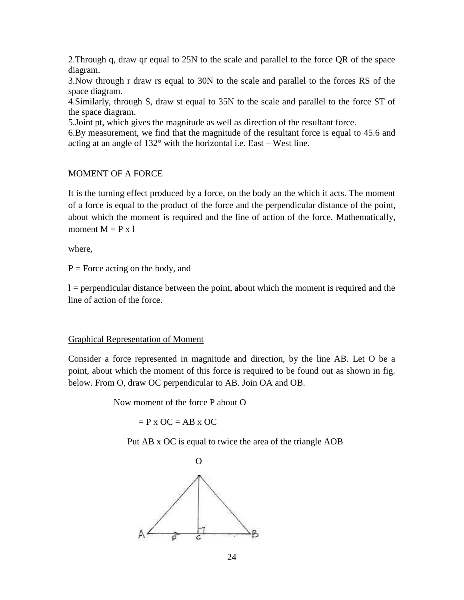2.Through q, draw qr equal to 25N to the scale and parallel to the force QR of the space diagram.

3.Now through r draw rs equal to 30N to the scale and parallel to the forces RS of the space diagram.

4.Similarly, through S, draw st equal to 35N to the scale and parallel to the force ST of the space diagram.

5.Joint pt, which gives the magnitude as well as direction of the resultant force.

6.By measurement, we find that the magnitude of the resultant force is equal to 45.6 and acting at an angle of 132° with the horizontal i.e. East – West line.

# MOMENT OF A FORCE

It is the turning effect produced by a force, on the body an the which it acts. The moment of a force is equal to the product of the force and the perpendicular distance of the point, about which the moment is required and the line of action of the force. Mathematically, moment  $M = P x l$ 

where,

 $P =$  Force acting on the body, and

l = perpendicular distance between the point, about which the moment is required and the line of action of the force.

### Graphical Representation of Moment

Consider a force represented in magnitude and direction, by the line AB. Let O be a point, about which the moment of this force is required to be found out as shown in fig. below. From O, draw OC perpendicular to AB. Join OA and OB.

Now moment of the force P about O

 $=$  P x OC  $=$  AB x OC

Put AB x OC is equal to twice the area of the triangle AOB

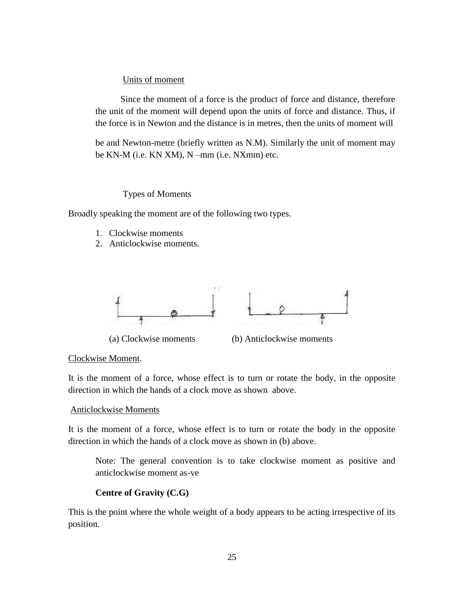# Units of moment

 Since the moment of a force is the product of force and distance, therefore the unit of the moment will depend upon the units of force and distance. Thus, if the force is in Newton and the distance is in metres, then the units of moment will

be and Newton-metre (briefly written as N.M). Similarly the unit of moment may be KN-M (i.e. KN XM), N –mm (i.e. NXmm) etc.

# Types of Moments

Broadly speaking the moment are of the following two types.

- 1. Clockwise moments
- 2. Anticlockwise moments.



(a) Clockwise moments (b) Anticlockwise moments

# Clockwise Moment.

It is the moment of a force, whose effect is to turn or rotate the body, in the opposite direction in which the hands of a clock move as shown above.

# Anticlockwise Moments

It is the moment of a force, whose effect is to turn or rotate the body in the opposite direction in which the hands of a clock move as shown in (b) above.

Note: The general convention is to take clockwise moment as positive and anticlockwise moment as-ve

# **Centre of Gravity (C.G)**

This is the point where the whole weight of a body appears to be acting irrespective of its position.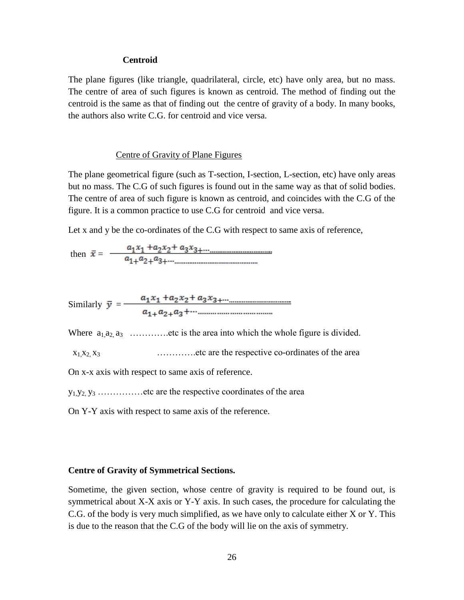#### **Centroid**

The plane figures (like triangle, quadrilateral, circle, etc) have only area, but no mass. The centre of area of such figures is known as centroid. The method of finding out the centroid is the same as that of finding out the centre of gravity of a body. In many books, the authors also write C.G. for centroid and vice versa.

### Centre of Gravity of Plane Figures

The plane geometrical figure (such as T-section, I-section, L-section, etc) have only areas but no mass. The C.G of such figures is found out in the same way as that of solid bodies. The centre of area of such figure is known as centroid, and coincides with the C.G of the figure. It is a common practice to use C.G for centroid and vice versa.

Let x and y be the co-ordinates of the C.G with respect to same axis of reference,

then  $\bar{x} = \frac{a_1x_1 + a_2x_2 + a_3x_3 + \cdots + a_n}{a_1 + a_2 + a_3 + \cdots + a_n}$ 

Similarly  $\bar{y} = \frac{a_1x_1 + a_2x_2 + a_3x_3 + \cdots + a_{n-1}a_n}{a_{n-1}a_2 + a_3 + \cdots + a_{n-1}a_n}$ 

Where  $a_1 a_2 a_3 \dots a_n$  etc is the area into which the whole figure is divided.

 $x_1, x_2, x_3$  ……….....etc are the respective co-ordinates of the area

On x-x axis with respect to same axis of reference.

 $y_1, y_2, y_3, \ldots, y_{1}$  etc are the respective coordinates of the area

On Y-Y axis with respect to same axis of the reference.

### **Centre of Gravity of Symmetrical Sections.**

Sometime, the given section, whose centre of gravity is required to be found out, is symmetrical about X-X axis or Y-Y axis. In such cases, the procedure for calculating the C.G. of the body is very much simplified, as we have only to calculate either X or Y. This is due to the reason that the C.G of the body will lie on the axis of symmetry.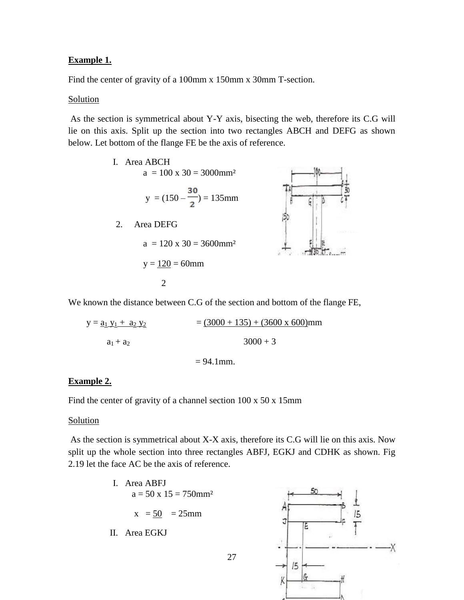# **Example 1.**

Find the center of gravity of a 100mm x 150mm x 30mm T-section.

### **Solution**

As the section is symmetrical about Y-Y axis, bisecting the web, therefore its C.G will lie on this axis. Split up the section into two rectangles ABCH and DEFG as shown below. Let bottom of the flange FE be the axis of reference.



We known the distance between C.G of the section and bottom of the flange FE,

 $y = a_1 y_1 + a_2 y_2$  = (3000 + 135) + (3600 x 600)mm  $a_1 + a_2$  3000 + 3

 $= 94.1$  mm.

# **Example 2.**

Find the center of gravity of a channel section 100 x 50 x 15mm

### **Solution**

As the section is symmetrical about X-X axis, therefore its C.G will lie on this axis. Now split up the whole section into three rectangles ABFJ, EGKJ and CDHK as shown. Fig 2.19 let the face AC be the axis of reference.

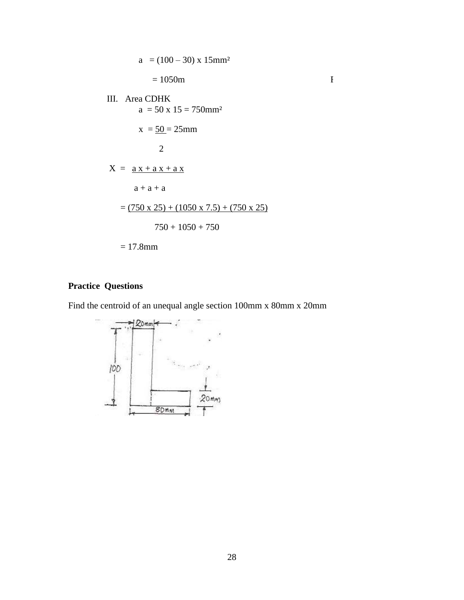$$
a = (100 - 30) \times 15 \text{mm}^2
$$
  
= 1050m  
III. Area CDHK  

$$
a = 50 \times 15 = 750 \text{mm}^2
$$
  

$$
x = \frac{50}{25} = 25 \text{mm}
$$
  

$$
2
$$
  

$$
X = \frac{ax + a x + a x}{a + a + a}
$$
  
= 
$$
\frac{(750 \times 25) + (1050 \times 7.5) + (750 \times 25)}{750 + 1050 + 750}
$$
  
= 17.8mm

# **Practice Questions**

Find the centroid of an unequal angle section 100mm x 80mm x 20mm

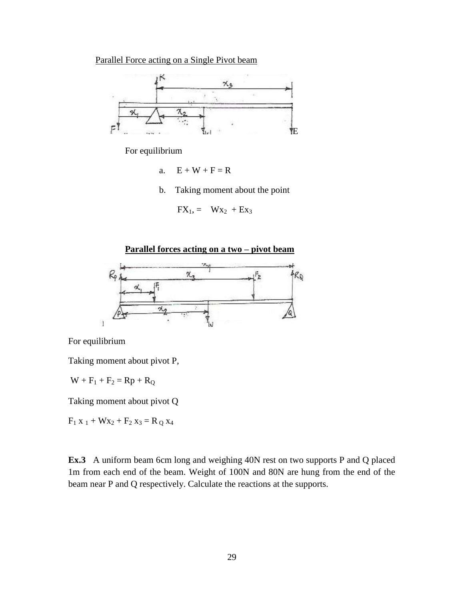Parallel Force acting on a Single Pivot beam



For equilibrium

a.  $E + W + F = R$ 

b. Taking moment about the point

$$
FX_1 = Wx_2 + Ex_3
$$





For equilibrium

Taking moment about pivot P,

 $W + F_1 + F_2 = Rp + R_Q$ 

Taking moment about pivot Q

 $F_1 x_1 + Wx_2 + F_2 x_3 = R_0 x_4$ 

**Ex.3** A uniform beam 6cm long and weighing 40N rest on two supports P and Q placed 1m from each end of the beam. Weight of 100N and 80N are hung from the end of the beam near P and Q respectively. Calculate the reactions at the supports.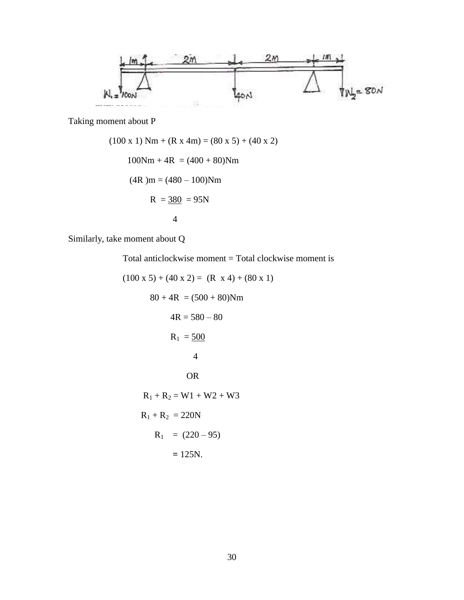

Taking moment about P

$$
(100 \times 1) \text{ Nm} + (\text{R} \times 4\text{m}) = (80 \times 5) + (40 \times 2)
$$
  
100Nm + 4R = (400 + 80)Nm  
(4R)m = (480 - 100)Nm  
R =  $\frac{380}{4}$  = 95N

Similarly, take moment about Q

Total anticlockwise moment = Total clockwise moment is

$$
(100 \times 5) + (40 \times 2) = (R \times 4) + (80 \times 1)
$$
  
\n
$$
80 + 4R = (500 + 80)Nm
$$
  
\n
$$
4R = 580 - 80
$$
  
\n
$$
R_1 = \frac{500}{4}
$$
  
\nOR  
\n
$$
R_1 + R_2 = W1 + W2 + W3
$$
  
\n
$$
R_1 + R_2 = 220N
$$
  
\n
$$
R_1 = (220 - 95)
$$
  
\n
$$
= 125N.
$$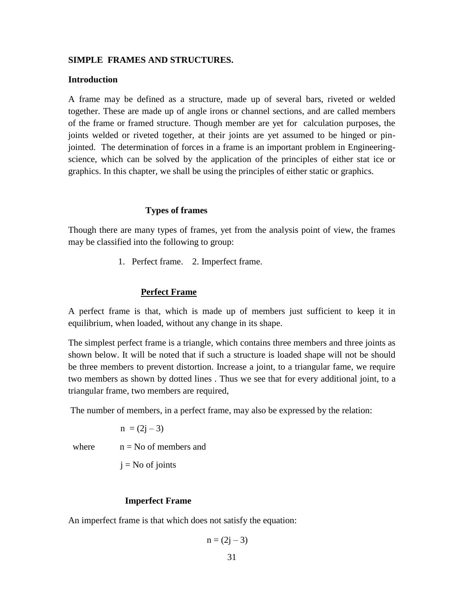### **SIMPLE FRAMES AND STRUCTURES.**

#### **Introduction**

A frame may be defined as a structure, made up of several bars, riveted or welded together. These are made up of angle irons or channel sections, and are called members of the frame or framed structure. Though member are yet for calculation purposes, the joints welded or riveted together, at their joints are yet assumed to be hinged or pinjointed. The determination of forces in a frame is an important problem in Engineeringscience, which can be solved by the application of the principles of either stat ice or graphics. In this chapter, we shall be using the principles of either static or graphics.

### **Types of frames**

Though there are many types of frames, yet from the analysis point of view, the frames may be classified into the following to group:

1. Perfect frame. 2. Imperfect frame.

### **Perfect Frame**

A perfect frame is that, which is made up of members just sufficient to keep it in equilibrium, when loaded, without any change in its shape.

The simplest perfect frame is a triangle, which contains three members and three joints as shown below. It will be noted that if such a structure is loaded shape will not be should be three members to prevent distortion. Increase a joint, to a triangular fame, we require two members as shown by dotted lines . Thus we see that for every additional joint, to a triangular frame, two members are required,

The number of members, in a perfect frame, may also be expressed by the relation:

 $n = (2j - 3)$ 

where  $n = No$  of members and

 $j = No$  of joints

#### **Imperfect Frame**

An imperfect frame is that which does not satisfy the equation:

$$
n = (2j - 3)
$$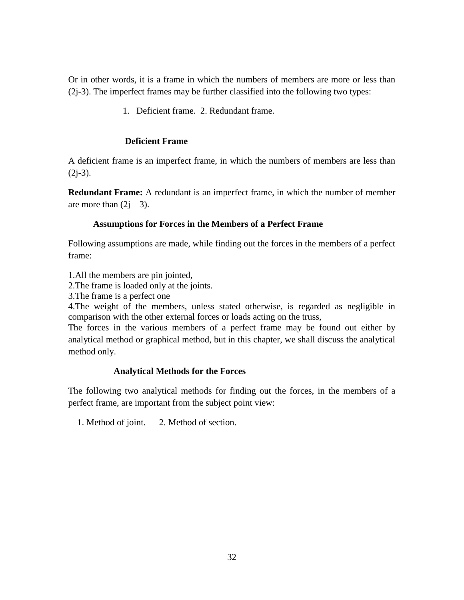Or in other words, it is a frame in which the numbers of members are more or less than (2j-3). The imperfect frames may be further classified into the following two types:

1. Deficient frame. 2. Redundant frame.

# **Deficient Frame**

A deficient frame is an imperfect frame, in which the numbers of members are less than  $(2j-3).$ 

**Redundant Frame:** A redundant is an imperfect frame, in which the number of member are more than  $(2j - 3)$ .

# **Assumptions for Forces in the Members of a Perfect Frame**

Following assumptions are made, while finding out the forces in the members of a perfect frame:

1.All the members are pin jointed,

2.The frame is loaded only at the joints.

3.The frame is a perfect one

4.The weight of the members, unless stated otherwise, is regarded as negligible in comparison with the other external forces or loads acting on the truss,

The forces in the various members of a perfect frame may be found out either by analytical method or graphical method, but in this chapter, we shall discuss the analytical method only.

# **Analytical Methods for the Forces**

The following two analytical methods for finding out the forces, in the members of a perfect frame, are important from the subject point view:

1. Method of joint. 2. Method of section.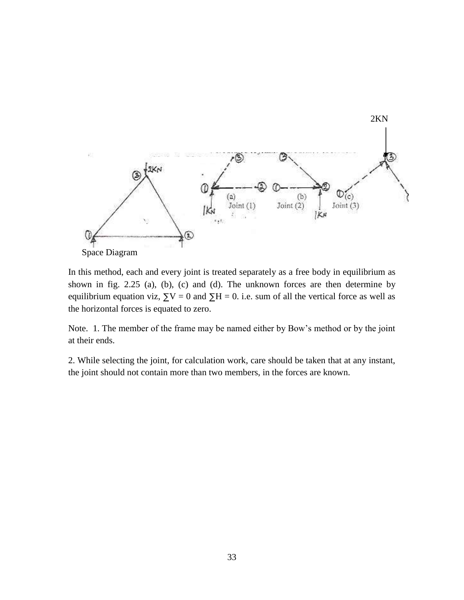

In this method, each and every joint is treated separately as a free body in equilibrium as shown in fig. 2.25 (a), (b), (c) and (d). The unknown forces are then determine by equilibrium equation viz,  $\Sigma V = 0$  and  $\Sigma H = 0$ . i.e. sum of all the vertical force as well as the horizontal forces is equated to zero.

Note. 1. The member of the frame may be named either by Bow's method or by the joint at their ends.

2. While selecting the joint, for calculation work, care should be taken that at any instant, the joint should not contain more than two members, in the forces are known.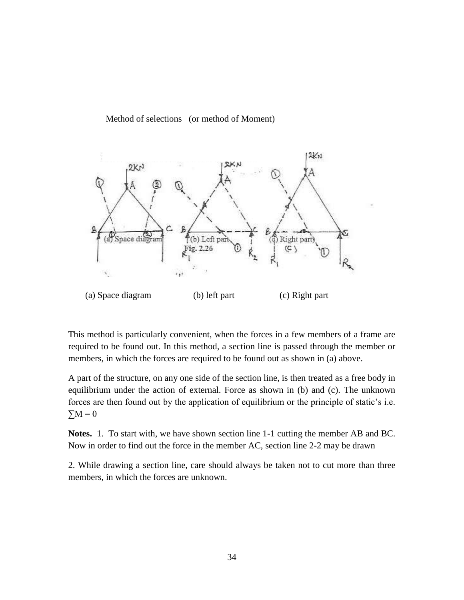Method of selections (or method of Moment)



This method is particularly convenient, when the forces in a few members of a frame are required to be found out. In this method, a section line is passed through the member or members, in which the forces are required to be found out as shown in (a) above.

A part of the structure, on any one side of the section line, is then treated as a free body in equilibrium under the action of external. Force as shown in (b) and (c). The unknown forces are then found out by the application of equilibrium or the principle of static's i.e.  $\Sigma M = 0$ 

**Notes.** 1. To start with, we have shown section line 1-1 cutting the member AB and BC. Now in order to find out the force in the member AC, section line 2-2 may be drawn

2. While drawing a section line, care should always be taken not to cut more than three members, in which the forces are unknown.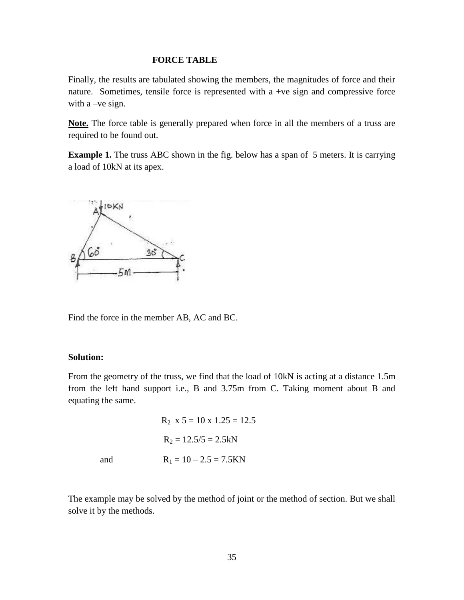#### **FORCE TABLE**

Finally, the results are tabulated showing the members, the magnitudes of force and their nature. Sometimes, tensile force is represented with a +ve sign and compressive force with a –ve sign.

**Note.** The force table is generally prepared when force in all the members of a truss are required to be found out.

**Example 1.** The truss ABC shown in the fig. below has a span of 5 meters. It is carrying a load of 10kN at its apex.



Find the force in the member AB, AC and BC.

#### **Solution:**

From the geometry of the truss, we find that the load of 10kN is acting at a distance 1.5m from the left hand support i.e., B and 3.75m from C. Taking moment about B and equating the same.

 $R_2$  x 5 = 10 x 1.25 = 12.5  $R_2 = 12.5/5 = 2.5kN$ and  $R_1 = 10 - 2.5 = 7.5$ KN

The example may be solved by the method of joint or the method of section. But we shall solve it by the methods.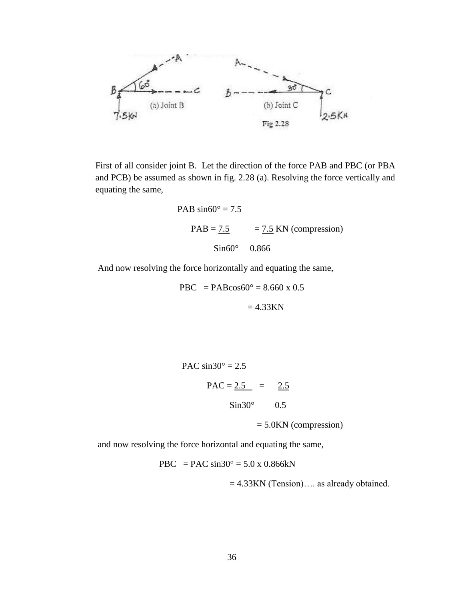

First of all consider joint B. Let the direction of the force PAB and PBC (or PBA and PCB) be assumed as shown in fig. 2.28 (a). Resolving the force vertically and equating the same,

PAB sin60° = 7.5  
PAB = 
$$
7.5
$$
 = 7.5 KN (compression)  
Sin60° 0.866

And now resolving the force horizontally and equating the same,

$$
PBC = PAB\cos 60^\circ = 8.660 \times 0.5
$$

$$
= 4.33KN
$$

PAC  $sin30^\circ = 2.5$ PAC =  $2.5 = 2.5$  $Sin30^{\circ}$  0.5

= 5.0KN (compression)

and now resolving the force horizontal and equating the same,

PBC = PAC  $\sin 30^\circ = 5.0 \times 0.866$  kN

= 4.33KN (Tension)…. as already obtained.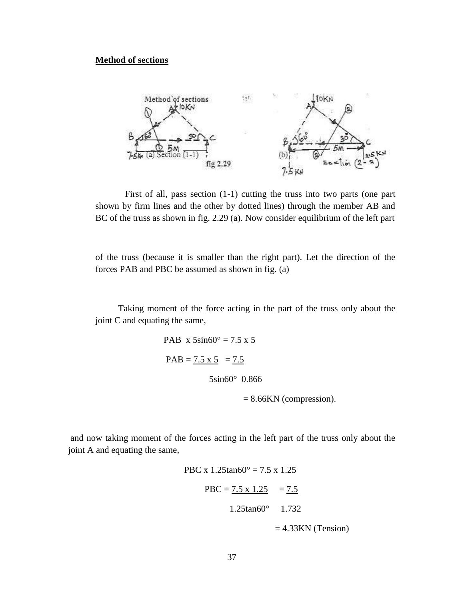### **Method of sections**



First of all, pass section (1-1) cutting the truss into two parts (one part shown by firm lines and the other by dotted lines) through the member AB and BC of the truss as shown in fig. 2.29 (a). Now consider equilibrium of the left part

of the truss (because it is smaller than the right part). Let the direction of the forces PAB and PBC be assumed as shown in fig. (a)

 Taking moment of the force acting in the part of the truss only about the joint C and equating the same,

```
PAB x 5sin60^\circ = 7.5 x 5PAB = 7.5 \times 5 = 7.5 5sin60° 0.866
```
= 8.66KN (compression).

and now taking moment of the forces acting in the left part of the truss only about the joint A and equating the same,

> PBC x  $1.25\tan 60^\circ = 7.5 \times 1.25$  $PBC = 7.5 \times 1.25 = 7.5$  1.25tan60° 1.732  $= 4.33KN$  (Tension)

> > 37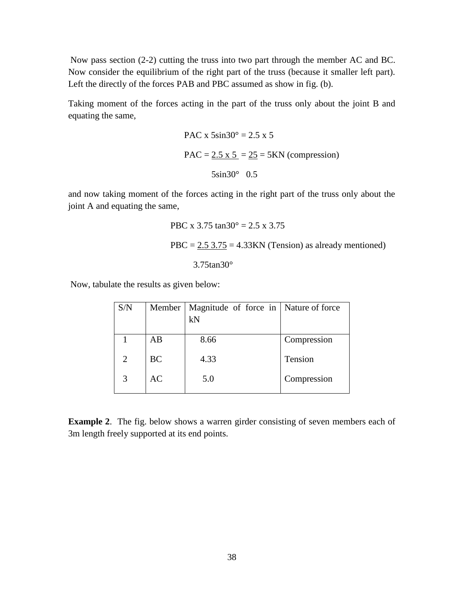Now pass section (2-2) cutting the truss into two part through the member AC and BC. Now consider the equilibrium of the right part of the truss (because it smaller left part). Left the directly of the forces PAB and PBC assumed as show in fig. (b).

Taking moment of the forces acting in the part of the truss only about the joint B and equating the same,

PAC x 
$$
5\sin 30^\circ = 2.5 \times 5
$$
  
PAC =  $2.5 \times 5 = 25 = 5$ KN (compression)  
 $5\sin 30^\circ$  0.5

and now taking moment of the forces acting in the right part of the truss only about the joint A and equating the same,

$$
PBC x 3.75 \tan 30^\circ = 2.5 x 3.75
$$

$$
PBC = 2.5 3.75 = 4.33 \text{KN (Tension) as already mentioned)}
$$

$$
3.75 \tan 30^\circ
$$

Now, tabulate the results as given below:

| S/N            |           | Member   Magnitude of force in   Nature of force |             |
|----------------|-----------|--------------------------------------------------|-------------|
|                |           | kN                                               |             |
|                | AB        | 8.66                                             | Compression |
| $\overline{2}$ | <b>BC</b> | 4.33                                             | Tension     |
| 3              | <b>AC</b> | 5.0                                              | Compression |
|                |           |                                                  |             |

**Example 2**. The fig. below shows a warren girder consisting of seven members each of 3m length freely supported at its end points.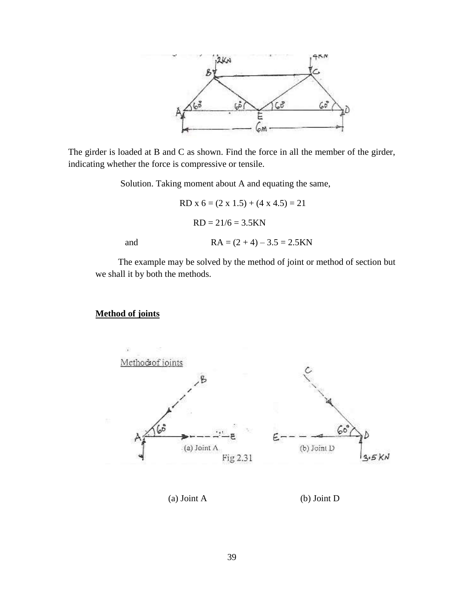

The girder is loaded at B and C as shown. Find the force in all the member of the girder, indicating whether the force is compressive or tensile.

Solution. Taking moment about A and equating the same,

 RD x 6 = (2 x 1.5) + (4 x 4.5) = 21 RD = 21/6 = 3.5KN and RA = (2 + 4) – 3.5 = 2.5KN

 The example may be solved by the method of joint or method of section but we shall it by both the methods.

# **Method of joints**

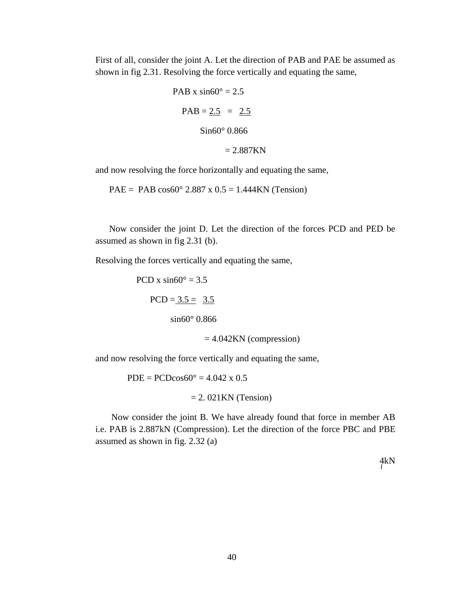First of all, consider the joint A. Let the direction of PAB and PAE be assumed as shown in fig 2.31. Resolving the force vertically and equating the same,

PAB x sin60° = 2.5  
\n
$$
PAB = 2.5 = 2.5
$$
\n
$$
Sin60° 0.866
$$
\n
$$
= 2.887KN
$$

and now resolving the force horizontally and equating the same,

PAE = PAB  $\cos 60^\circ 2.887 \times 0.5 = 1.444 \text{KN}$  (Tension)

 Now consider the joint D. Let the direction of the forces PCD and PED be assumed as shown in fig 2.31 (b).

Resolving the forces vertically and equating the same,

PCD x  $sin60^\circ = 3.5$  $PCD = 3.5 = 3.5$ sin60° 0.866  $= 4.042KN$  (compression)

and now resolving the force vertically and equating the same,

 $PDE = PCD\cos 60^\circ = 4.042 \times 0.5$ 

 $= 2.021$ KN (Tension)

 Now consider the joint B. We have already found that force in member AB i.e. PAB is 2.887kN (Compression). Let the direction of the force PBC and PBE assumed as shown in fig. 2.32 (a)

4kN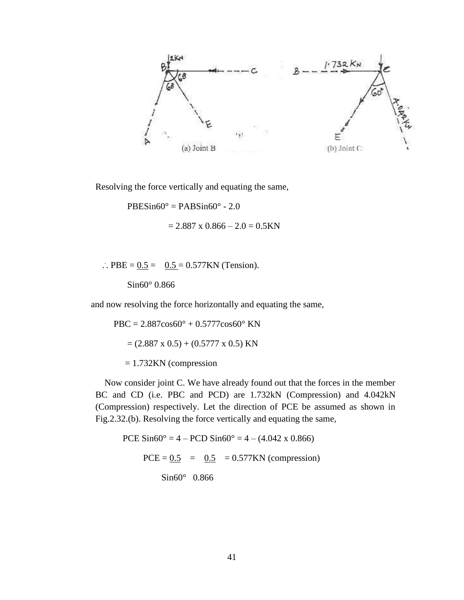

Resolving the force vertically and equating the same,

 $PBESin60^{\circ} = PABSin60^{\circ} - 2.0$ 

 $= 2.887$  x  $0.866 - 2.0 = 0.5$ KN

.. PBE =  $0.5 = 0.5 = 0.577$ KN (Tension).

Sin60° 0.866

and now resolving the force horizontally and equating the same,

 $PBC = 2.887 \cos 60^{\circ} + 0.5777 \cos 60^{\circ}$  KN  $= (2.887 \times 0.5) + (0.5777 \times 0.5)$  KN = 1.732KN (compression

 Now consider joint C. We have already found out that the forces in the member BC and CD (i.e. PBC and PCD) are 1.732kN (Compression) and 4.042kN (Compression) respectively. Let the direction of PCE be assumed as shown in Fig.2.32.(b). Resolving the force vertically and equating the same,

PCE  $\text{Sin}60^{\circ} = 4 - \text{PCD }\text{Sin}60^{\circ} = 4 - (4.042 \times 0.866)$  $PCE = 0.5 = 0.5 = 0.577KN$  (compression) Sin60° 0.866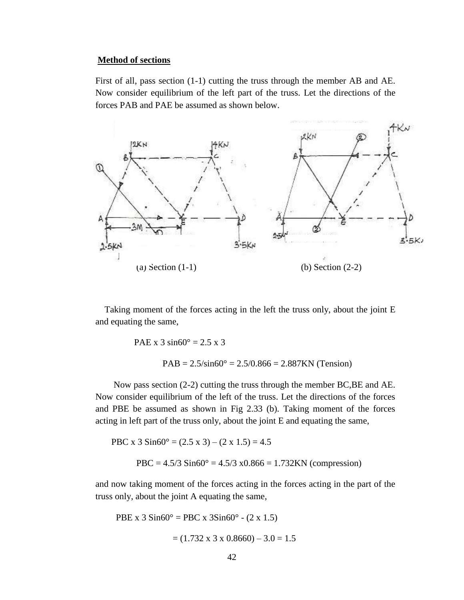#### **Method of sections**

First of all, pass section (1-1) cutting the truss through the member AB and AE. Now consider equilibrium of the left part of the truss. Let the directions of the forces PAB and PAE be assumed as shown below.



 Taking moment of the forces acting in the left the truss only, about the joint E and equating the same,

> PAE x 3  $\sin 60^\circ = 2.5 \times 3$  $PAB = 2.5/\sin 60^\circ = 2.5/0.866 = 2.887KN$  (Tension)

 Now pass section (2-2) cutting the truss through the member BC,BE and AE. Now consider equilibrium of the left of the truss. Let the directions of the forces and PBE be assumed as shown in Fig 2.33 (b). Taking moment of the forces acting in left part of the truss only, about the joint E and equating the same,

PBC x  $3 \text{Sin}60^{\circ} = (2.5 \text{ x } 3) - (2 \text{ x } 1.5) = 4.5$ PBC =  $4.5/3$  Sin60° =  $4.5/3$  x0.866 = 1.732KN (compression)

and now taking moment of the forces acting in the forces acting in the part of the truss only, about the joint A equating the same,

PBE x  $3 \text{Sin}60^{\circ} = \text{PBC} \times 3 \text{Sin}60^{\circ} - (2 \times 1.5)$  $= (1.732 \times 3 \times 0.8660) - 3.0 = 1.5$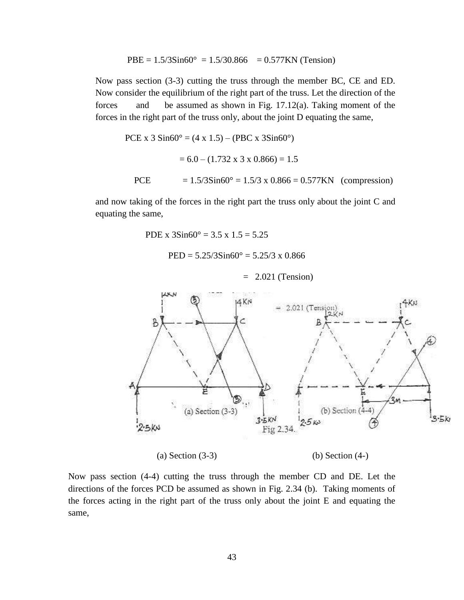PBE = 
$$
1.5/3\text{Sin}60^\circ
$$
 =  $1.5/30.866$  =  $0.577\text{KN}$  (Tension)

Now pass section (3-3) cutting the truss through the member BC, CE and ED. Now consider the equilibrium of the right part of the truss. Let the direction of the forces and be assumed as shown in Fig. 17.12(a). Taking moment of the forces in the right part of the truss only, about the joint D equating the same,

 PCE x 3 Sin60° = (4 x 1.5) – (PBC x 3Sin60°) = 6.0 – (1.732 x 3 x 0.866) = 1.5 PCE = 1.5/3Sin60° = 1.5/3 x 0.866 = 0.577KN (compression)

and now taking of the forces in the right part the truss only about the joint C and equating the same,

PDE x  $3\sin 60^\circ = 3.5 \times 1.5 = 5.25$ 

 $PED = 5.25/3\sin 60^\circ = 5.25/3 \times 0.866$ 

 $= 2.021$  (Tension)



(a) Section (3-3) (b) Section (4-)

Now pass section (4-4) cutting the truss through the member CD and DE. Let the directions of the forces PCD be assumed as shown in Fig. 2.34 (b). Taking moments of the forces acting in the right part of the truss only about the joint E and equating the same,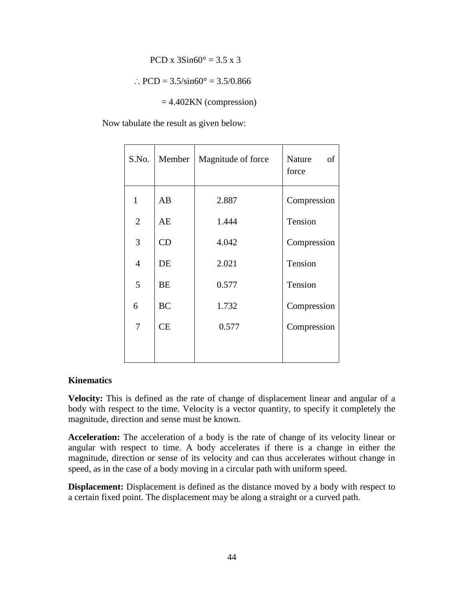$$
PCD x 3Sin60^{\circ} = 3.5 x 3
$$

$$
\therefore \text{PCD} = 3.5/\text{sin}60^{\circ} = 3.5/0.866
$$

 $= 4.402KN$  (compression)

Now tabulate the result as given below:

| S.No.          | Member    | Magnitude of force | Nature<br>of<br>force |
|----------------|-----------|--------------------|-----------------------|
| $\mathbf{1}$   | AB        | 2.887              | Compression           |
| $\overline{2}$ | AE        | 1.444              | Tension               |
| 3              | CD        | 4.042              | Compression           |
| $\overline{4}$ | DE        | 2.021              | Tension               |
| 5              | BE        | 0.577              | Tension               |
| 6              | <b>BC</b> | 1.732              | Compression           |
| 7              | <b>CE</b> | 0.577              | Compression           |
|                |           |                    |                       |

### **Kinematics**

**Velocity:** This is defined as the rate of change of displacement linear and angular of a body with respect to the time. Velocity is a vector quantity, to specify it completely the magnitude, direction and sense must be known.

**Acceleration:** The acceleration of a body is the rate of change of its velocity linear or angular with respect to time. A body accelerates if there is a change in either the magnitude, direction or sense of its velocity and can thus accelerates without change in speed, as in the case of a body moving in a circular path with uniform speed.

**Displacement:** Displacement is defined as the distance moved by a body with respect to a certain fixed point. The displacement may be along a straight or a curved path.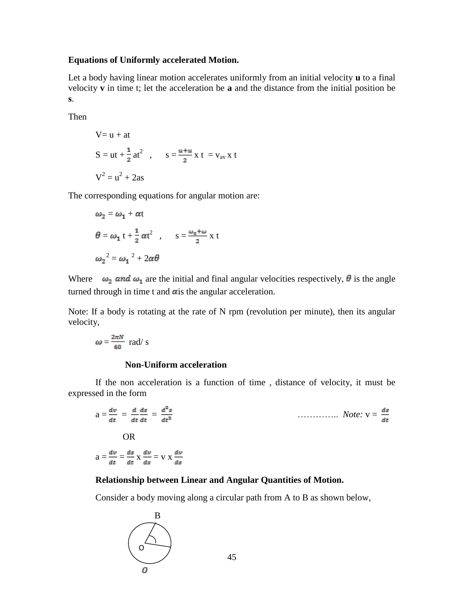### **Equations of Uniformly accelerated Motion.**

Let a body having linear motion accelerates uniformly from an initial velocity **u** to a final velocity **v** in time t; let the acceleration be **a** and the distance from the initial position be **s**.

Then

V= u + at  
\nS = ut + 
$$
\frac{1}{2}
$$
 at<sup>2</sup> ,  $s = \frac{u+u}{2}x t = v_{av}x t$   
\nV<sup>2</sup> = u<sup>2</sup> + 2as

The corresponding equations for angular motion are:

$$
\omega_2 = \omega_1 + \alpha t
$$
  
\n
$$
\theta = \omega_1 t + \frac{1}{2} \alpha t^2 , \qquad s = \frac{\omega_0 + \omega}{2} x t
$$
  
\n
$$
\omega_2^2 = \omega_1^2 + 2\alpha \theta
$$

Where  $\omega_2$  and  $\omega_1$  are the initial and final angular velocities respectively,  $\theta$  is the angle turned through in time t and  $\alpha$  is the angular acceleration.

Note: If a body is rotating at the rate of N rpm (revolution per minute), then its angular velocity,

$$
\omega = \frac{2\pi N}{60} \text{ rad/s}
$$

# **Non-Uniform acceleration**

If the non acceleration is a function of time , distance of velocity, it must be expressed in the form

$$
a = \frac{dv}{dt} = \frac{d}{dt} \frac{ds}{dt} = \frac{d^2s}{dt^2}
$$
  
OR  

$$
a = \frac{dv}{dt} = \frac{ds}{dt} \times \frac{dv}{ds} = v \times \frac{dv}{ds}
$$

# **Relationship between Linear and Angular Quantities of Motion.**

Consider a body moving along a circular path from A to B as shown below,

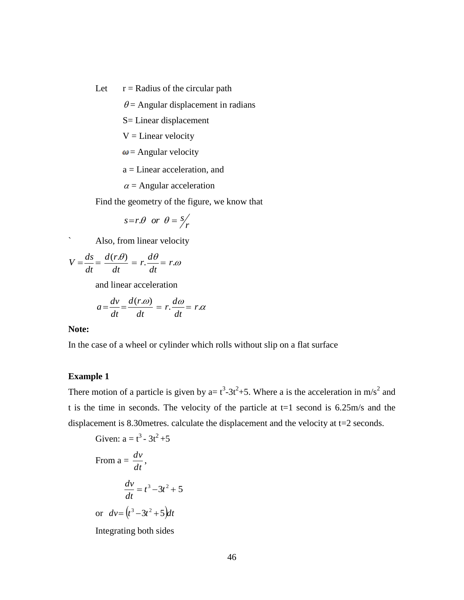Let  $r =$  Radius of the circular path

 $\theta$  = Angular displacement in radians

S= Linear displacement

 $V = Linear velocity$ 

 $\omega$  = Angular velocity

a = Linear acceleration, and

 $\alpha$  = Angular acceleration

Find the geometry of the figure, we know that

$$
s = r.\theta \quad or \quad \theta = s/r'
$$

` Also, from linear velocity

$$
V = \frac{ds}{dt} = \frac{d(r.\theta)}{dt} = r.\frac{d\theta}{dt} = r.\omega
$$

and linear acceleration

$$
a = \frac{dv}{dt} = \frac{d(r \cdot \omega)}{dt} = r \cdot \frac{d\omega}{dt} = r \cdot \alpha
$$

# **Note:**

In the case of a wheel or cylinder which rolls without slip on a flat surface

# **Example 1**

There motion of a particle is given by a=  $t^3$ -3 $t^2$ +5. Where a is the acceleration in m/s<sup>2</sup> and t is the time in seconds. The velocity of the particle at  $t=1$  second is 6.25m/s and the displacement is 8.30metres. calculate the displacement and the velocity at t=2 seconds.

Given: 
$$
a = t^3 - 3t^2 + 5
$$
  
\nFrom  $a = \frac{dv}{dt}$ ,  
\n
$$
\frac{dv}{dt} = t^3 - 3t^2 + 5
$$
\nor  $dv = (t^3 - 3t^2 + 5)dt$ 

Integrating both sides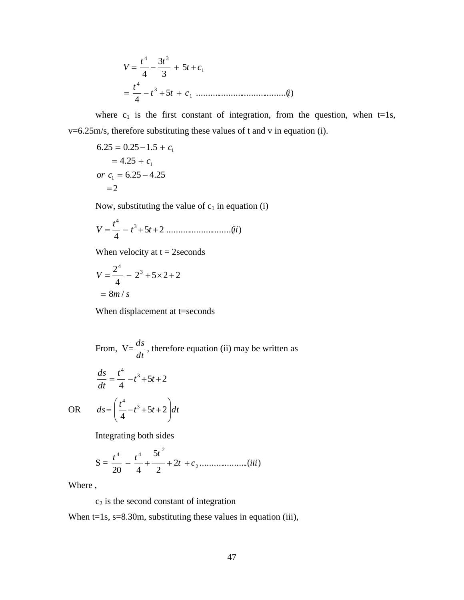$$
V = \frac{t^4}{4} - \frac{3t^3}{3} + 5t + c_1
$$
  
=  $\frac{t^4}{4} - t^3 + 5t + c_1$  ....... (i)

where  $c_1$  is the first constant of integration, from the question, when t=1s, v=6.25m/s, therefore substituting these values of t and v in equation (i).

$$
6.25 = 0.25 - 1.5 + c_1
$$
  
= 4.25 + c<sub>1</sub>  
or c<sub>1</sub> = 6.25 - 4.25  
= 2

Now, substituting the value of  $c_1$  in equation (i)

$$
V = \frac{t^4}{4} - t^3 + 5t + 2 \dots \dots \dots \dots \dots \dots \dots \dots (ii)
$$

When velocity at  $t = 2$  seconds

$$
V = \frac{2^4}{4} - 2^3 + 5 \times 2 + 2
$$
  
= 8m/s

When displacement at t=seconds

From, 
$$
V = \frac{ds}{dt}
$$
, therefore equation (ii) may be written as

$$
\frac{ds}{dt} = \frac{t^4}{4} - t^3 + 5t + 2
$$

4  $\overrightarrow{A}$ 

 $\overline{\phantom{a}}$  $\setminus$ 

4

ſ

OR  $ds = \left(\frac{t^4}{4} - t^3 + 5t + 2\right)dt$ 

Integrating both sides

 $=\frac{1}{2} - t^3 + 5t + 2$ 

S = 2 .....................( ) 2 5 20 4 2 2 4 4 *t c iii t t t* 

 $\bigg)$ 

 $\setminus$ 

Where ,

# $c_2$  is the second constant of integration

When t=1s, s=8.30m, substituting these values in equation (iii),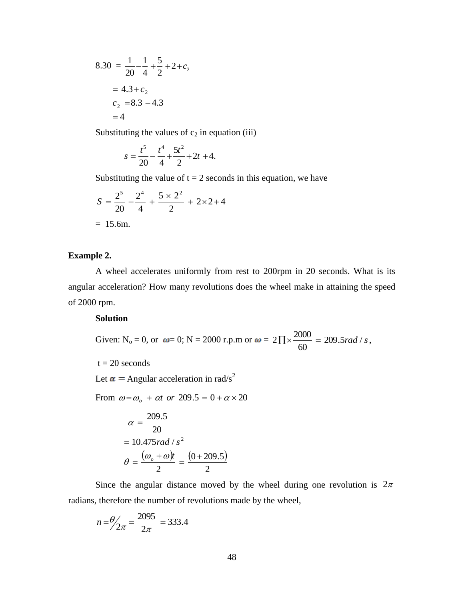$$
8.30 = \frac{1}{20} - \frac{1}{4} + \frac{5}{2} + 2 + c_2
$$
  
= 4.3 + c<sub>2</sub>  
c<sub>2</sub> = 8.3 - 4.3  
= 4

Substituting the values of  $c_2$  in equation (iii)

$$
s = \frac{t^5}{20} - \frac{t^4}{4} + \frac{5t^2}{2} + 2t + 4.
$$

Substituting the value of  $t = 2$  seconds in this equation, we have

$$
S = \frac{2^5}{20} - \frac{2^4}{4} + \frac{5 \times 2^2}{2} + 2 \times 2 + 4
$$
  
= 15.6m.

### **Example 2.**

A wheel accelerates uniformly from rest to 200rpm in 20 seconds. What is its angular acceleration? How many revolutions does the wheel make in attaining the speed of 2000 rpm.

### **Solution**

Given: N<sub>o</sub> = 0, or 
$$
\omega
$$
= 0; N = 2000 r.p.m or  $\omega$  = 2 $\Pi \times \frac{2000}{60}$  = 209.5 rad/s,

 $t = 20$  seconds

Let  $\alpha$  = Angular acceleration in rad/s<sup>2</sup>

From  $\omega = \omega_o + \alpha t$  or  $209.5 = 0 + \alpha \times 20$ 

$$
\alpha = \frac{209.5}{20}
$$
  
= 10.475 rad/s<sup>2</sup>  

$$
\theta = \frac{(\omega_o + \omega)t}{2} = \frac{(0 + 209.5)}{2}
$$

Since the angular distance moved by the wheel during one revolution is  $2\pi$ radians, therefore the number of revolutions made by the wheel,

$$
n = \frac{\theta}{2\pi} = \frac{2095}{2\pi} = 333.4
$$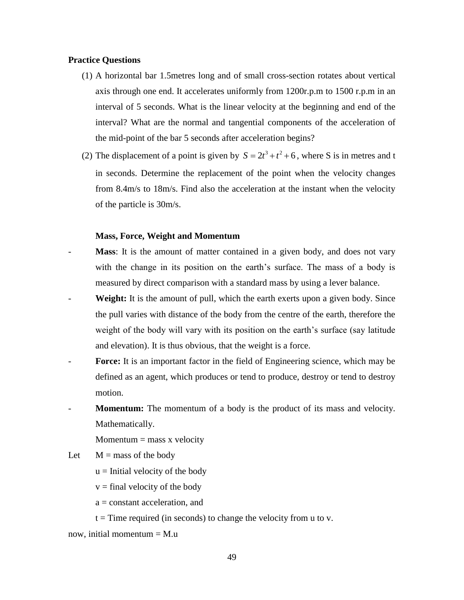### **Practice Questions**

- (1) A horizontal bar 1.5metres long and of small cross-section rotates about vertical axis through one end. It accelerates uniformly from 1200r.p.m to 1500 r.p.m in an interval of 5 seconds. What is the linear velocity at the beginning and end of the interval? What are the normal and tangential components of the acceleration of the mid-point of the bar 5 seconds after acceleration begins?
- (2) The displacement of a point is given by  $S = 2t^3 + t^2 + 6$ , where S is in metres and t in seconds. Determine the replacement of the point when the velocity changes from 8.4m/s to 18m/s. Find also the acceleration at the instant when the velocity of the particle is 30m/s.

#### **Mass, Force, Weight and Momentum**

- **Mass**: It is the amount of matter contained in a given body, and does not vary with the change in its position on the earth's surface. The mass of a body is measured by direct comparison with a standard mass by using a lever balance.
- **Weight:** It is the amount of pull, which the earth exerts upon a given body. Since the pull varies with distance of the body from the centre of the earth, therefore the weight of the body will vary with its position on the earth's surface (say latitude and elevation). It is thus obvious, that the weight is a force.
- **Force:** It is an important factor in the field of Engineering science, which may be defined as an agent, which produces or tend to produce, destroy or tend to destroy motion.
- **Momentum:** The momentum of a body is the product of its mass and velocity. Mathematically.

 $Momentum = mass x velocity$ 

Let  $M =$  mass of the body

 $u =$  Initial velocity of the body

 $v =$  final velocity of the body

- a = constant acceleration, and
- $t =$ Time required (in seconds) to change the velocity from u to v.

now, initial momentum  $=$  M.u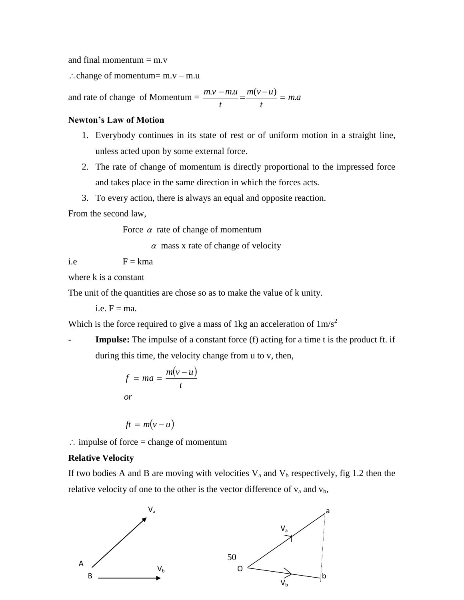and final momentum  $=$  m.v

 $\therefore$  change of momentum= m.v – m.u

and rate of change of Momentum  $= \frac{m_1 v - m_2}{2} = \frac{m_1 v - m_2}{2} = m_1 a$ *t*  $m(v - u)$ *t*  $\frac{m.v - m.u}{m.v - u} = \frac{m(v - u)}{m} = m.$ 

### **Newton's Law of Motion**

- 1. Everybody continues in its state of rest or of uniform motion in a straight line, unless acted upon by some external force.
- 2. The rate of change of momentum is directly proportional to the impressed force and takes place in the same direction in which the forces acts.
- 3. To every action, there is always an equal and opposite reaction.

From the second law,

Force  $\alpha$  rate of change of momentum

 $\alpha$  mass x rate of change of velocity

i.e  $F = kma$ 

where k is a constant

The unit of the quantities are chose so as to make the value of k unity.

i.e.  $F = ma$ .

Which is the force required to give a mass of 1kg an acceleration of  $1 \text{m/s}^2$ 

**Impulse:** The impulse of a constant force (f) acting for a time t is the product ft. if during this time, the velocity change from u to v, then,

$$
f = ma = \frac{m(v - u)}{t}
$$
  
or

$$
ft = m(v - u)
$$

 $\therefore$  impulse of force = change of momentum

### **Relative Velocity**

If two bodies A and B are moving with velocities  $V_a$  and  $V_b$  respectively, fig 1.2 then the relative velocity of one to the other is the vector difference of  $v_a$  and  $v_b$ ,

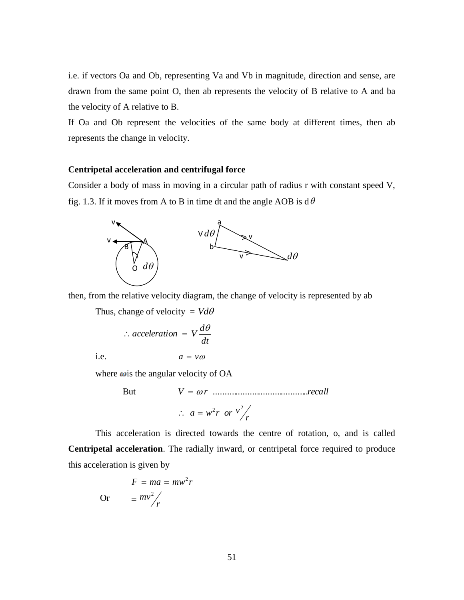i.e. if vectors Oa and Ob, representing Va and Vb in magnitude, direction and sense, are drawn from the same point O, then ab represents the velocity of B relative to A and ba the velocity of A relative to B.

If Oa and Ob represent the velocities of the same body at different times, then ab represents the change in velocity.

### **Centripetal acceleration and centrifugal force**

Consider a body of mass in moving in a circular path of radius r with constant speed V, fig. 1.3. If it moves from A to B in time dt and the angle AOB is  $d\theta$ 



then, from the relative velocity diagram, the change of velocity is represented by ab

Thus, change of velocity =  $V d\theta$ 

$$
\therefore acceleration = V \frac{d\theta}{dt}
$$

i.e.

$$
a = v\omega
$$

where  $\omega$  is the angular velocity of OA

But *V r* ..........................................*recall*  $\therefore$   $a = w^2 r$  or  $v^2 / r$ 

This acceleration is directed towards the centre of rotation, o, and is called **Centripetal acceleration**. The radially inward, or centripetal force required to produce this acceleration is given by

$$
F = ma = mw2r
$$
  
Or 
$$
= mv2/r
$$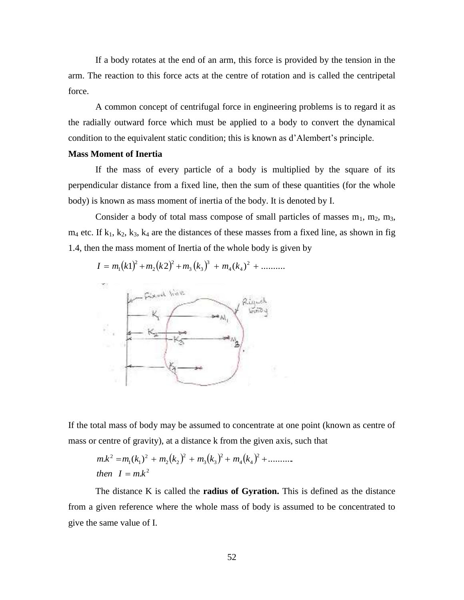If a body rotates at the end of an arm, this force is provided by the tension in the arm. The reaction to this force acts at the centre of rotation and is called the centripetal force.

A common concept of centrifugal force in engineering problems is to regard it as the radially outward force which must be applied to a body to convert the dynamical condition to the equivalent static condition; this is known as d'Alembert's principle.

### **Mass Moment of Inertia**

If the mass of every particle of a body is multiplied by the square of its perpendicular distance from a fixed line, then the sum of these quantities (for the whole body) is known as mass moment of inertia of the body. It is denoted by I.

Consider a body of total mass compose of small particles of masses  $m_1$ ,  $m_2$ ,  $m_3$ ,  $m_4$  etc. If  $k_1, k_2, k_3, k_4$  are the distances of these masses from a fixed line, as shown in fig 1.4, then the mass moment of Inertia of the whole body is given by



If the total mass of body may be assumed to concentrate at one point (known as centre of mass or centre of gravity), at a distance k from the given axis, such that

$$
m.k2 = m1(k1)2 + m2(k2)2 + m3(k3)2 + m4(k4)2 + .........
$$
  
then  $I = m.k2$ 

The distance K is called the **radius of Gyration.** This is defined as the distance from a given reference where the whole mass of body is assumed to be concentrated to give the same value of I.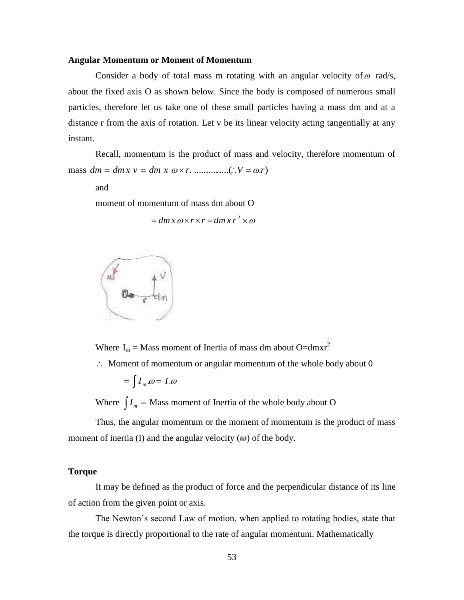#### **Angular Momentum or Moment of Momentum**

Consider a body of total mass m rotating with an angular velocity of  $\omega$  rad/s, about the fixed axis O as shown below. Since the body is composed of numerous small particles, therefore let us take one of these small particles having a mass dm and at a distance r from the axis of rotation. Let v be its linear velocity acting tangentially at any instant.

Recall, momentum is the product of mass and velocity, therefore momentum of mass *dm dmx v dm x r*. ...............(*V* .*r*)

and

moment of momentum of mass dm about O

$$
= dm x \omega x r x r = dm x r^2 \times \omega
$$



Where  $I_m = Mass$  moment of Inertia of mass dm about O=dmxr<sup>2</sup>

 $\therefore$  Moment of momentum or angular momentum of the whole body about 0

$$
=\int I_m \omega = I.\omega
$$

Where  $\int I_m =$  Mass moment of Inertia of the whole body about O

Thus, the angular momentum or the moment of momentum is the product of mass moment of inertia (I) and the angular velocity  $(\omega)$  of the body.

### **Torque**

It may be defined as the product of force and the perpendicular distance of its line of action from the given point or axis.

The Newton's second Law of motion, when applied to rotating bodies, state that the torque is directly proportional to the rate of angular momentum. Mathematically